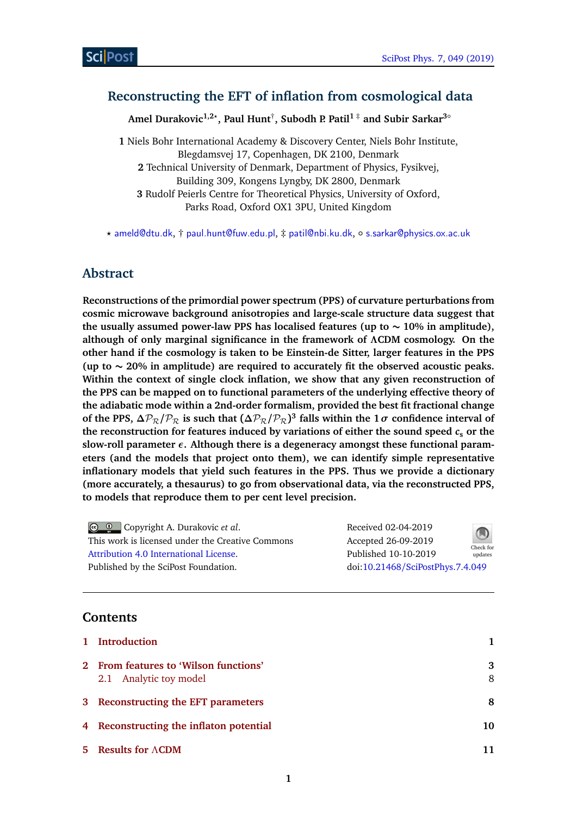# **Reconstructing the EFT of inflation from cosmological data**

**Amel Durakovic1,2***?* **, Paul Hunt**† **, Subodh P. Patil<sup>1</sup>** ‡ **and Subir Sarkar3**◦

**1** Niels Bohr International Academy & Discovery Center, Niels Bohr Institute, Blegdamsvej 17, Copenhagen, DK 2100, Denmark **2** Technical University of Denmark, Department of Physics, Fysikvej, Building 309, Kongens Lyngby, DK 2800, Denmark **3** Rudolf Peierls Centre for Theoretical Physics, University of Oxford, Parks Road, Oxford OX1 3PU, United Kingdom

*?* [ameld@dtu.dk](mailto: ameld@dtu.dk), † [paul.hunt@fuw.edu.pl](mailto:paul.hunt@fuw.edu.pl), ‡ [patil@nbi.ku.dk](mailto:patil@nbi.ku.dk), ◦ [s.sarkar@physics.ox.ac.uk](mailto:s.sarkar@physics.ox.ac.uk)

# **Abstract**

**Reconstructions of the primordial power spectrum (PPS) of curvature perturbations from cosmic microwave background anisotropies and large-scale structure data suggest that the usually assumed power-law PPS has localised features (up to ∼ 10% in amplitude), although of only marginal significance in the framework of** *Λ***CDM cosmology. On the other hand if the cosmology is taken to be Einstein-de Sitter, larger features in the PPS (up to ∼ 20% in amplitude) are required to accurately fit the observed acoustic peaks. Within the context of single clock inflation, we show that any given reconstruction of the PPS can be mapped on to functional parameters of the underlying effective theory of the adiabatic mode within a 2nd-order formalism, provided the best fit fractional change of the PPS,**  $\Delta P_R / P_R$  is such that  $(\Delta P_R / P_R)^3$  falls within the 1*σ* confidence interval of the reconstruction for features induced by variations of either the sound speed  $c_s$  or the **slow-roll parameter** *ε***. Although there is a degeneracy amongst these functional parameters (and the models that project onto them), we can identify simple representative inflationary models that yield such features in the PPS. Thus we provide a dictionary (more accurately, a thesaurus) to go from observational data, via the reconstructed PPS, to models that reproduce them to per cent level precision.**

| $\bigcirc$ $\bigcirc$ Copyright A. Durakovic <i>et al.</i> | Received 02-04-2019              | $\bigcirc$           |
|------------------------------------------------------------|----------------------------------|----------------------|
| This work is licensed under the Creative Commons           | Accepted 26-09-2019              |                      |
| Attribution 4.0 International License.                     | Published 10-10-2019             | Check for<br>updates |
| Published by the SciPost Foundation.                       | doi:10.21468/SciPostPhys.7.4.049 |                      |

## **Contents**

| 1 Introduction                                                  |        |
|-----------------------------------------------------------------|--------|
| 2 From features to 'Wilson functions'<br>2.1 Analytic toy model | 3<br>8 |
| 3 Reconstructing the EFT parameters                             | 8      |
| 4 Reconstructing the inflaton potential                         | 10     |
| 5 Results for $\Lambda$ CDM                                     | 11     |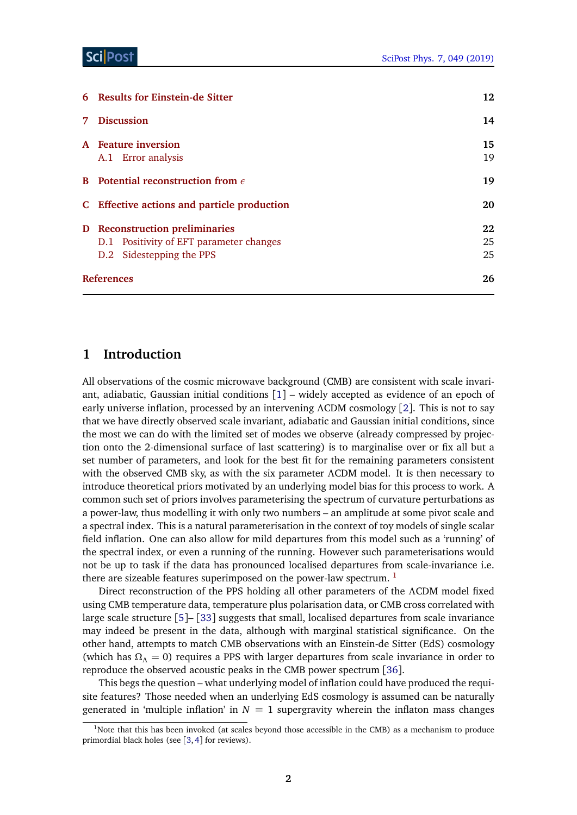|                | 6 Results for Einstein-de Sitter                  | 12       |
|----------------|---------------------------------------------------|----------|
| 7 <sup>7</sup> | <b>Discussion</b>                                 | 14       |
|                | A Feature inversion<br>A.1 Error analysis         | 15<br>19 |
|                | <b>B</b> Potential reconstruction from $\epsilon$ | 19       |
|                | C Effective actions and particle production       | 20       |
|                | <b>D</b> Reconstruction preliminaries             | 22       |
|                | D.1 Positivity of EFT parameter changes           | 25       |
|                | D.2 Sidestepping the PPS                          | 25       |
|                | <b>References</b>                                 | 26       |

### <span id="page-1-0"></span>**1 Introduction**

All observations of the cosmic microwave background (CMB) are consistent with scale invariant, adiabatic, Gaussian initial conditions [[1](#page-25-3)] – widely accepted as evidence of an epoch of early universe inflation, processed by an intervening *Λ*CDM cosmology [[2](#page-25-4)]. This is not to say that we have directly observed scale invariant, adiabatic and Gaussian initial conditions, since the most we can do with the limited set of modes we observe (already compressed by projection onto the 2-dimensional surface of last scattering) is to marginalise over or fix all but a set number of parameters, and look for the best fit for the remaining parameters consistent with the observed CMB sky, as with the six parameter *Λ*CDM model. It is then necessary to introduce theoretical priors motivated by an underlying model bias for this process to work. A common such set of priors involves parameterising the spectrum of curvature perturbations as a power-law, thus modelling it with only two numbers – an amplitude at some pivot scale and a spectral index. This is a natural parameterisation in the context of toy models of single scalar field inflation. One can also allow for mild departures from this model such as a 'running' of the spectral index, or even a running of the running. However such parameterisations would not be up to task if the data has pronounced localised departures from scale-invariance i.e. there are sizeable features superimposed on the power-law spectrum.  $<sup>1</sup>$  $<sup>1</sup>$  $<sup>1</sup>$ </sup>

Direct reconstruction of the PPS holding all other parameters of the *Λ*CDM model fixed using CMB temperature data, temperature plus polarisation data, or CMB cross correlated with large scale structure [[5](#page-26-0)]– [[33](#page-28-0)] suggests that small, localised departures from scale invariance may indeed be present in the data, although with marginal statistical significance. On the other hand, attempts to match CMB observations with an Einstein-de Sitter (EdS) cosmology (which has  $\Omega_{\Lambda} = 0$ ) requires a PPS with larger departures from scale invariance in order to reproduce the observed acoustic peaks in the CMB power spectrum [[36](#page-28-1)].

This begs the question – what underlying model of inflation could have produced the requisite features? Those needed when an underlying EdS cosmology is assumed can be naturally generated in 'multiple inflation' in  $N = 1$  supergravity wherein the inflaton mass changes

<span id="page-1-1"></span> $1$ Note that this has been invoked (at scales beyond those accessible in the CMB) as a mechanism to produce primordial black holes (see [[3,](#page-26-1)[4](#page-26-2)] for reviews).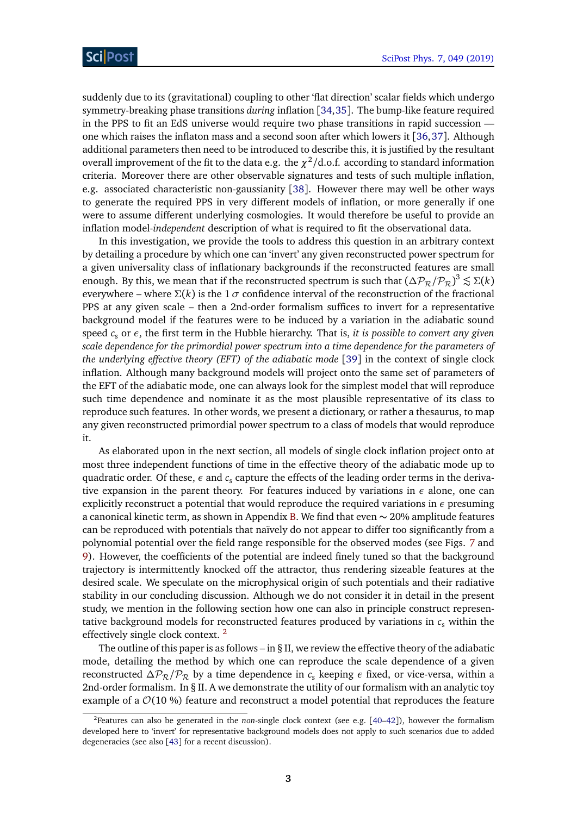suddenly due to its (gravitational) coupling to other 'flat direction' scalar fields which undergo symmetry-breaking phase transitions *during* inflation [[34,](#page-28-2)[35](#page-28-3)]. The bump-like feature required in the PPS to fit an EdS universe would require two phase transitions in rapid succession one which raises the inflaton mass and a second soon after which lowers it [[36,](#page-28-1)[37](#page-28-4)]. Although additional parameters then need to be introduced to describe this, it is justified by the resultant overall improvement of the fit to the data e.g. the  $\chi^2/\text{d.o.f.}$  according to standard information criteria. Moreover there are other observable signatures and tests of such multiple inflation, e.g. associated characteristic non-gaussianity [[38](#page-28-5)]. However there may well be other ways to generate the required PPS in very different models of inflation, or more generally if one were to assume different underlying cosmologies. It would therefore be useful to provide an inflation model-*independent* description of what is required to fit the observational data.

In this investigation, we provide the tools to address this question in an arbitrary context by detailing a procedure by which one can 'invert' any given reconstructed power spectrum for a given universality class of inflationary backgrounds if the reconstructed features are small enough. By this, we mean that if the reconstructed spectrum is such that  $(\Delta P_R / P_R)^3 \lesssim \Sigma(k)$ everywhere – where  $\Sigma(k)$  is the 1  $\sigma$  confidence interval of the reconstruction of the fractional PPS at any given scale – then a 2nd-order formalism suffices to invert for a representative background model if the features were to be induced by a variation in the adiabatic sound speed *c*<sup>s</sup> or *ε*, the first term in the Hubble hierarchy. That is, *it is possible to convert any given scale dependence for the primordial power spectrum into a time dependence for the parameters of the underlying effective theory (EFT) of the adiabatic mode* [[39](#page-28-6)] in the context of single clock inflation. Although many background models will project onto the same set of parameters of the EFT of the adiabatic mode, one can always look for the simplest model that will reproduce such time dependence and nominate it as the most plausible representative of its class to reproduce such features. In other words, we present a dictionary, or rather a thesaurus, to map any given reconstructed primordial power spectrum to a class of models that would reproduce it.

As elaborated upon in the next section, all models of single clock inflation project onto at most three independent functions of time in the effective theory of the adiabatic mode up to quadratic order. Of these,  $\epsilon$  and  $c_{\rm s}$  capture the effects of the leading order terms in the derivative expansion in the parent theory. For features induced by variations in  $\epsilon$  alone, one can explicitly reconstruct a potential that would reproduce the required variations in *ε* presuming a canonical kinetic term, as shown in Appendix [B.](#page-19-1) We find that even  $\sim$  20% amplitude features can be reproduced with potentials that naïvely do not appear to differ too significantly from a polynomial potential over the field range responsible for the observed modes (see Figs. [7](#page-12-0) and [9\)](#page-13-1). However, the coefficients of the potential are indeed finely tuned so that the background trajectory is intermittently knocked off the attractor, thus rendering sizeable features at the desired scale. We speculate on the microphysical origin of such potentials and their radiative stability in our concluding discussion. Although we do not consider it in detail in the present study, we mention in the following section how one can also in principle construct representative background models for reconstructed features produced by variations in  $c_s$  within the effectively single clock context. [2](#page-2-0)

The outline of this paper is as follows – in  $\S$  II, we review the effective theory of the adiabatic mode, detailing the method by which one can reproduce the scale dependence of a given reconstructed  $\Delta P_R / P_R$  by a time dependence in  $c_s$  keeping  $\epsilon$  fixed, or vice-versa, within a 2nd-order formalism. In § II. A we demonstrate the utility of our formalism with an analytic toy example of a  $\mathcal{O}(10\%)$  feature and reconstruct a model potential that reproduces the feature

<span id="page-2-0"></span><sup>2</sup>Features can also be generated in the *non*-single clock context (see e.g. [[40–](#page-28-7)[42](#page-28-8)]), however the formalism developed here to 'invert' for representative background models does not apply to such scenarios due to added degeneracies (see also [[43](#page-28-9)] for a recent discussion).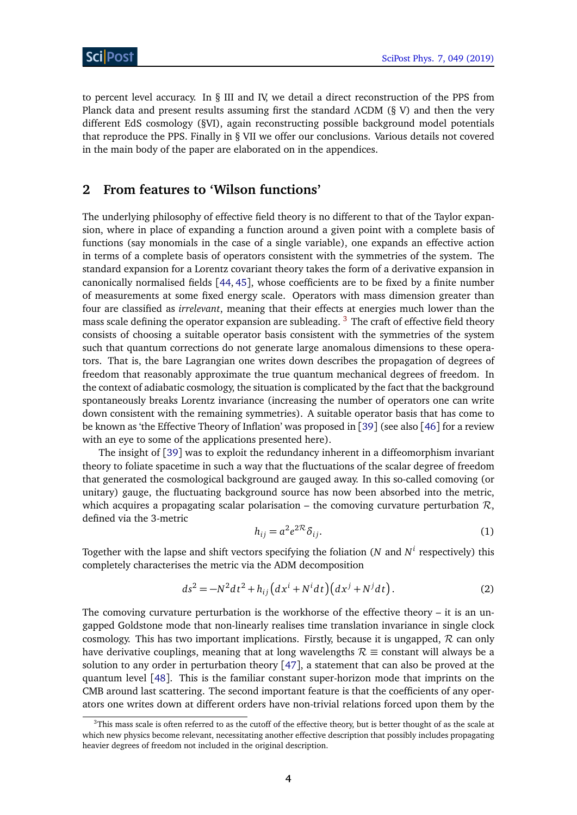to percent level accuracy. In  $\S$  III and IV, we detail a direct reconstruction of the PPS from Planck data and present results assuming first the standard *Λ*CDM (§ V) and then the very different EdS cosmology (§VI), again reconstructing possible background model potentials that reproduce the PPS. Finally in § VII we offer our conclusions. Various details not covered in the main body of the paper are elaborated on in the appendices.

## <span id="page-3-0"></span>**2 From features to 'Wilson functions'**

The underlying philosophy of effective field theory is no different to that of the Taylor expansion, where in place of expanding a function around a given point with a complete basis of functions (say monomials in the case of a single variable), one expands an effective action in terms of a complete basis of operators consistent with the symmetries of the system. The standard expansion for a Lorentz covariant theory takes the form of a derivative expansion in canonically normalised fields [[44,](#page-28-10) [45](#page-28-11)], whose coefficients are to be fixed by a finite number of measurements at some fixed energy scale. Operators with mass dimension greater than four are classified as *irrelevant*, meaning that their effects at energies much lower than the mass scale defining the operator expansion are subleading.<sup>[3](#page-3-1)</sup> The craft of effective field theory consists of choosing a suitable operator basis consistent with the symmetries of the system such that quantum corrections do not generate large anomalous dimensions to these operators. That is, the bare Lagrangian one writes down describes the propagation of degrees of freedom that reasonably approximate the true quantum mechanical degrees of freedom. In the context of adiabatic cosmology, the situation is complicated by the fact that the background spontaneously breaks Lorentz invariance (increasing the number of operators one can write down consistent with the remaining symmetries). A suitable operator basis that has come to be known as 'the Effective Theory of Inflation' was proposed in [[39](#page-28-6)] (see also [[46](#page-28-12)] for a review with an eye to some of the applications presented here).

The insight of [[39](#page-28-6)] was to exploit the redundancy inherent in a diffeomorphism invariant theory to foliate spacetime in such a way that the fluctuations of the scalar degree of freedom that generated the cosmological background are gauged away. In this so-called comoving (or unitary) gauge, the fluctuating background source has now been absorbed into the metric, which acquires a propagating scalar polarisation – the comoving curvature perturbation  $\mathcal{R}$ , defined via the 3-metric

$$
h_{ij} = a^2 e^{2\mathcal{R}} \delta_{ij}.
$$
 (1)

Together with the lapse and shift vectors specifying the foliation (*N* and *N i* respectively) this completely characterises the metric via the ADM decomposition

$$
ds^{2} = -N^{2}dt^{2} + h_{ij}\left(dx^{i} + N^{i}dt\right)\left(dx^{j} + N^{j}dt\right).
$$
 (2)

The comoving curvature perturbation is the workhorse of the effective theory – it is an ungapped Goldstone mode that non-linearly realises time translation invariance in single clock cosmology. This has two important implications. Firstly, because it is ungapped,  $R$  can only have derivative couplings, meaning that at long wavelengths  $\mathcal{R} \equiv$  constant will always be a solution to any order in perturbation theory [[47](#page-28-13)], a statement that can also be proved at the quantum level [[48](#page-29-0)]. This is the familiar constant super-horizon mode that imprints on the CMB around last scattering. The second important feature is that the coefficients of any operators one writes down at different orders have non-trivial relations forced upon them by the

<span id="page-3-1"></span><sup>&</sup>lt;sup>3</sup>This mass scale is often referred to as the cutoff of the effective theory, but is better thought of as the scale at which new physics become relevant, necessitating another effective description that possibly includes propagating heavier degrees of freedom not included in the original description.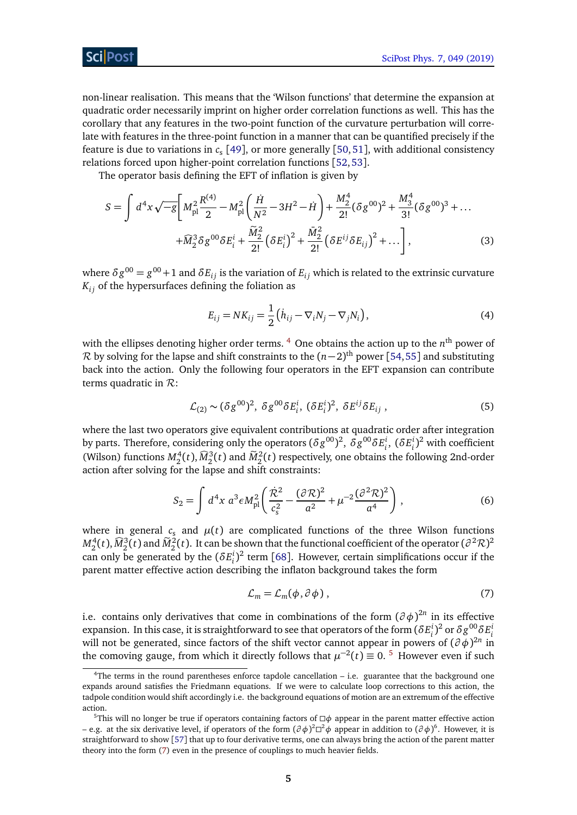non-linear realisation. This means that the 'Wilson functions' that determine the expansion at quadratic order necessarily imprint on higher order correlation functions as well. This has the corollary that any features in the two-point function of the curvature perturbation will correlate with features in the three-point function in a manner that can be quantified precisely if the feature is due to variations in *c*<sup>s</sup> [[49](#page-29-1)], or more generally [[50,](#page-29-2)[51](#page-29-3)], with additional consistency relations forced upon higher-point correlation functions [[52,](#page-29-4)[53](#page-29-5)].

The operator basis defining the EFT of inflation is given by

$$
S = \int d^4x \sqrt{-g} \left[ M_{\rm pl}^2 \frac{R^{(4)}}{2} - M_{\rm pl}^2 \left( \frac{\dot{H}}{N^2} - 3H^2 - \dot{H} \right) + \frac{M_2^4}{2!} (\delta g^{00})^2 + \frac{M_3^4}{3!} (\delta g^{00})^3 + \dots \right. \\
\left. + \widehat{M}_2^3 \delta g^{00} \delta E_i^i + \frac{\widetilde{M}_2^2}{2!} (\delta E_i^i)^2 + \frac{\overline{M}_2^2}{2!} (\delta E_i^i \delta E_{ij})^2 + \dots \right],
$$
\n(3)

where  $\delta g^{00} = g^{00}+1$  and  $\delta E_{ij}$  is the variation of  $E_{ij}$  which is related to the extrinsic curvature  $K_{ij}$  of the hypersurfaces defining the foliation as

$$
E_{ij} = NK_{ij} = \frac{1}{2} (h_{ij} - \nabla_i N_j - \nabla_j N_i),
$$
\n(4)

with the ellipses denoting higher order terms.  $^4$  $^4$  One obtains the action up to the  $n^{\rm th}$  power of  $\mathcal R$  by solving for the lapse and shift constraints to the  $(n-2)^{\text{th}}$  power [[54,](#page-29-6)[55](#page-29-7)] and substituting back into the action. Only the following four operators in the EFT expansion can contribute terms quadratic in  $\mathcal{R}$ :

$$
\mathcal{L}_{(2)} \sim (\delta g^{00})^2, \ \delta g^{00} \delta E_i^i, \ (\delta E_i^i)^2, \ \delta E^{ij} \delta E_{ij} \ , \tag{5}
$$

where the last two operators give equivalent contributions at quadratic order after integration by parts. Therefore, considering only the operators  $(\delta g^{00})^2$ ,  $\delta g^{00} \delta E^i_i$ ,  $(\delta E^i_i)^2$  with coefficient (Wilson) functions  $M_2^4(t)$ ,  $\widehat{M}_2^3(t)$  and  $\widehat{M}_2^2(t)$  respectively, one obtains the following 2nd-order action after solving for the lapse and shift constraints:

$$
S_2 = \int d^4x \; a^3 \epsilon M_{\rm pl}^2 \left( \frac{\dot{\mathcal{R}}^2}{c_s^2} - \frac{(\partial \mathcal{R})^2}{a^2} + \mu^{-2} \frac{(\partial^2 \mathcal{R})^2}{a^4} \right) \,, \tag{6}
$$

where in general  $c_s$  and  $\mu(t)$  are complicated functions of the three Wilson functions  $M_2^4(t)$ ,  $\widehat{M}_2^3(t)$  and  $\widetilde{M}_2^2(t)$ . It can be shown that the functional coefficient of the operator  $(\partial^2 \mathcal{R})^2$ can only be generated by the  $(\delta E_i^i)^2$  term [[68](#page-29-8)]. However, certain simplifications occur if the parent matter effective action describing the inflaton background takes the form

<span id="page-4-2"></span>
$$
\mathcal{L}_m = \mathcal{L}_m(\phi, \partial \phi) \,, \tag{7}
$$

i.e. contains only derivatives that come in combinations of the form  $(\partial \phi)^{2n}$  in its effective expansion. In this case, it is straightforward to see that operators of the form  $(\delta E_i^i)^2$  or  $\delta g^{00}_{\phantom{0}}\delta E_i^i$ will not be generated, since factors of the shift vector cannot appear in powers of (*∂ φ*) 2*n* in the comoving gauge, from which it directly follows that  $\mu^{-2}(t) \equiv 0$ . <sup>[5](#page-4-1)</sup> However even if such

<span id="page-4-0"></span><sup>4</sup>The terms in the round parentheses enforce tapdole cancellation – i.e. guarantee that the background one expands around satisfies the Friedmann equations. If we were to calculate loop corrections to this action, the tadpole condition would shift accordingly i.e. the background equations of motion are an extremum of the effective action.

<span id="page-4-1"></span><sup>&</sup>lt;sup>5</sup>This will no longer be true if operators containing factors of  $\Box \phi$  appear in the parent matter effective action – e.g. at the six derivative level, if operators of the form (*∂ φ*) <sup>2</sup> <sup>2</sup>*φ* appear in addition to (*∂ φ*) 6 . However, it is straightforward to show [[57](#page-29-9)] that up to four derivative terms, one can always bring the action of the parent matter theory into the form [\(7\)](#page-4-2) even in the presence of couplings to much heavier fields.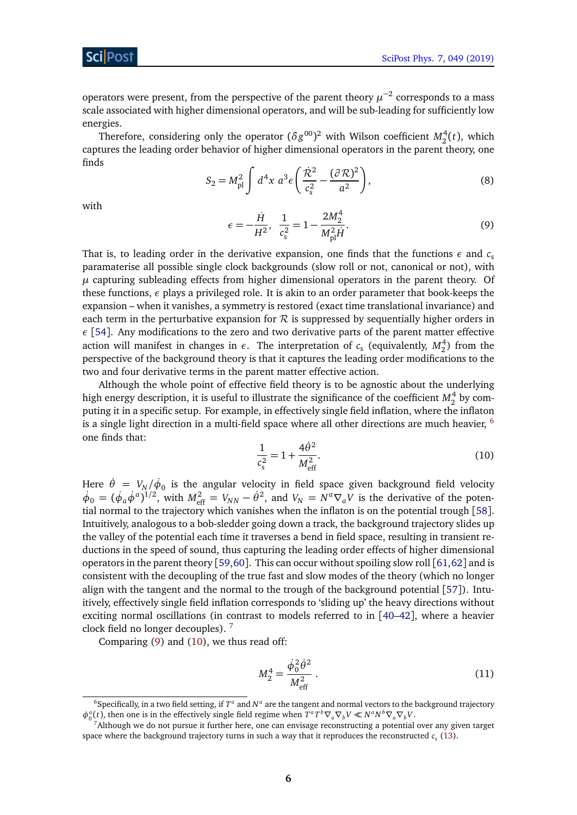ScilPos

operators were present, from the perspective of the parent theory  $\mu^{-2}$  corresponds to a mass scale associated with higher dimensional operators, and will be sub-leading for sufficiently low energies.

<span id="page-5-4"></span>Therefore, considering only the operator  $(\delta g^{00})^2$  with Wilson coefficient  $M_2^4(t)$ , which captures the leading order behavior of higher dimensional operators in the parent theory, one finds

$$
S_2 = M_{\rm pl}^2 \int d^4 x \; a^3 \epsilon \left( \frac{\dot{\mathcal{R}}^2}{c_s^2} - \frac{(\partial \mathcal{R})^2}{a^2} \right),\tag{8}
$$

<span id="page-5-2"></span>with

$$
\epsilon = -\frac{\dot{H}}{H^2}, \ \frac{1}{c_s^2} = 1 - \frac{2M_2^4}{M_{\text{pl}}^2 \dot{H}}.
$$
\n(9)

That is, to leading order in the derivative expansion, one finds that the functions  $\epsilon$  and  $c_{s}$ paramaterise all possible single clock backgrounds (slow roll or not, canonical or not), with *µ* capturing subleading effects from higher dimensional operators in the parent theory. Of these functions, *ε* plays a privileged role. It is akin to an order parameter that book-keeps the expansion – when it vanishes, a symmetry is restored (exact time translational invariance) and each term in the perturbative expansion for  $R$  is suppressed by sequentially higher orders in *ε* [[54](#page-29-6)]. Any modifications to the zero and two derivative parts of the parent matter effective action will manifest in changes in  $\epsilon$ . The interpretation of  $c_s$  (equivalently,  $M_2^4$ ) from the perspective of the background theory is that it captures the leading order modifications to the two and four derivative terms in the parent matter effective action.

<span id="page-5-3"></span>Although the whole point of effective field theory is to be agnostic about the underlying high energy description, it is useful to illustrate the significance of the coefficient  $M_2^4$  by computing it in a specific setup. For example, in effectively single field inflation, where the inflaton is a single light direction in a multi-field space where all other directions are much heavier,  $^6$  $^6$ one finds that:

$$
\frac{1}{c_s^2} = 1 + \frac{4\dot{\theta}^2}{M_{\text{eff}}^2}.
$$
\n(10)

Here  $\dot{\theta} = V_N/\dot{\phi}_0$  is the angular velocity in field space given background field velocity  $\dot{\phi}_0 = (\dot{\phi}_a \dot{\phi}^a)^{1/2}$ , with  $M_{\text{eff}}^2 = V_{NN} - \dot{\theta}^2$ , and  $V_N = N^a \nabla_a V$  is the derivative of the potential normal to the trajectory which vanishes when the inflaton is on the potential trough [[58](#page-29-10)]. Intuitively, analogous to a bob-sledder going down a track, the background trajectory slides up the valley of the potential each time it traverses a bend in field space, resulting in transient reductions in the speed of sound, thus capturing the leading order effects of higher dimensional operators in the parent theory [[59,](#page-29-11)[60](#page-29-12)]. This can occur without spoiling slow roll [[61,](#page-29-13)[62](#page-29-14)] and is consistent with the decoupling of the true fast and slow modes of the theory (which no longer align with the tangent and the normal to the trough of the background potential [[57](#page-29-9)]). Intuitively, effectively single field inflation corresponds to 'sliding up' the heavy directions without exciting normal oscillations (in contrast to models referred to in [[40–](#page-28-7)[42](#page-28-8)], where a heavier clock field no longer decouples). [7](#page-5-1)

Comparing [\(9\)](#page-5-2) and [\(10\)](#page-5-3), we thus read off:

$$
M_2^4 = \frac{\dot{\phi}_0^2 \dot{\theta}^2}{M_{\text{eff}}^2} \,. \tag{11}
$$

<span id="page-5-0"></span><sup>&</sup>lt;sup>6</sup>Specifically, in a two field setting, if  $T^a$  and  $N^a$  are the tangent and normal vectors to the background trajectory  $\phi_0^a(t)$ , then one is in the effectively single field regime when  $T^a T^b \nabla_a \nabla_b V \ll N^a N^b \nabla_a \nabla_b V$ .

<span id="page-5-1"></span><sup>7</sup>Although we do not pursue it further here, one can envisage reconstructing a potential over any given target space where the background trajectory turns in such a way that it reproduces the reconstructed  $c_s$  [\(13\)](#page-6-0).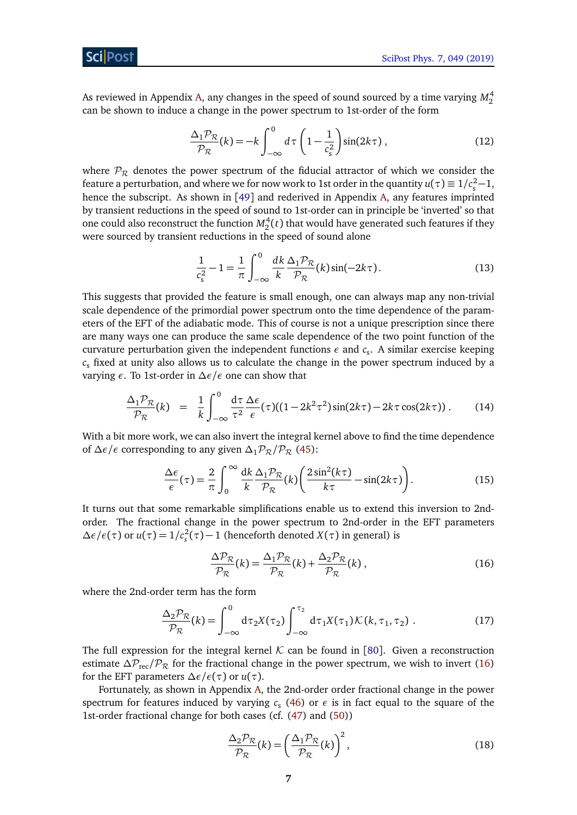As reviewed in Appendix [A,](#page-15-0) any changes in the speed of sound sourced by a time varying  $M_2^4$ can be shown to induce a change in the power spectrum to 1st-order of the form

<span id="page-6-5"></span>
$$
\frac{\Delta_1 \mathcal{P}_{\mathcal{R}}}{\mathcal{P}_{\mathcal{R}}}(k) = -k \int_{-\infty}^{0} d\tau \left(1 - \frac{1}{c_s^2}\right) \sin(2k\tau), \qquad (12)
$$

where  $P_R$  denotes the power spectrum of the fiducial attractor of which we consider the feature a perturbation, and where we for now work to 1st order in the quantity  $u(\tau) \equiv 1/c_s^2 - 1$ , hence the subscript. As shown in [[49](#page-29-1)] and rederived in Appendix [A,](#page-15-0) any features imprinted by transient reductions in the speed of sound to 1st-order can in principle be 'inverted' so that one could also reconstruct the function  $M_2^4(t)$  that would have generated such features if they were sourced by transient reductions in the speed of sound alone

<span id="page-6-0"></span>
$$
\frac{1}{c_s^2} - 1 = \frac{1}{\pi} \int_{-\infty}^0 \frac{dk}{k} \frac{\Delta_1 \mathcal{P}_{\mathcal{R}}}{\mathcal{P}_{\mathcal{R}}}(k) \sin(-2k\tau).
$$
 (13)

This suggests that provided the feature is small enough, one can always map any non-trivial scale dependence of the primordial power spectrum onto the time dependence of the parameters of the EFT of the adiabatic mode. This of course is not a unique prescription since there are many ways one can produce the same scale dependence of the two point function of the curvature perturbation given the independent functions  $\epsilon$  and  $c_{\rm s}$ . A similar exercise keeping  $c<sub>s</sub>$  fixed at unity also allows us to calculate the change in the power spectrum induced by a varying *ε*. To 1st-order in *∆ε/ε* one can show that

<span id="page-6-3"></span>
$$
\frac{\Delta_1 \mathcal{P}_{\mathcal{R}}}{\mathcal{P}_{\mathcal{R}}}(k) = \frac{1}{k} \int_{-\infty}^{0} \frac{d\tau}{\tau^2} \frac{\Delta \epsilon}{\epsilon}(\tau) ((1 - 2k^2 \tau^2) \sin(2k\tau) - 2k\tau \cos(2k\tau)). \tag{14}
$$

With a bit more work, we can also invert the integral kernel above to find the time dependence of  $\Delta \epsilon / \epsilon$  corresponding to any given  $\Delta_1 \mathcal{P}_R / \mathcal{P}_R$  [\(45\)](#page-17-0):

$$
\frac{\Delta\epsilon}{\epsilon}(\tau) = \frac{2}{\pi} \int_0^\infty \frac{dk}{k} \frac{\Delta_1 \mathcal{P}_{\mathcal{R}}}{\mathcal{P}_{\mathcal{R}}}(k) \left(\frac{2\sin^2(k\tau)}{k\tau} - \sin(2k\tau)\right).
$$
(15)

It turns out that some remarkable simplifications enable us to extend this inversion to 2ndorder. The fractional change in the power spectrum to 2nd-order in the EFT parameters  $\Delta \epsilon / \epsilon(\tau)$  or *u*(*τ*) = 1/*c*<sup>2</sup><sub>*s*</sub></sub>(*τ*) − 1 (henceforth denoted *X*(*τ*) in general) is

<span id="page-6-2"></span><span id="page-6-1"></span>
$$
\frac{\Delta \mathcal{P}_{\mathcal{R}}}{\mathcal{P}_{\mathcal{R}}}(k) = \frac{\Delta_1 \mathcal{P}_{\mathcal{R}}}{\mathcal{P}_{\mathcal{R}}}(k) + \frac{\Delta_2 \mathcal{P}_{\mathcal{R}}}{\mathcal{P}_{\mathcal{R}}}(k) ,
$$
\n(16)

where the 2nd-order term has the form

$$
\frac{\Delta_2 \mathcal{P}_{\mathcal{R}}}{\mathcal{P}_{\mathcal{R}}}(k) = \int_{-\infty}^{0} d\tau_2 X(\tau_2) \int_{-\infty}^{\tau_2} d\tau_1 X(\tau_1) \mathcal{K}(k, \tau_1, \tau_2).
$$
 (17)

The full expression for the integral kernel  $K$  can be found in [[80](#page-31-0)]. Given a reconstruction estimate  $\Delta P_{\text{rec}}/P_R$  for the fractional change in the power spectrum, we wish to invert [\(16\)](#page-6-1) for the EFT parameters  $\Delta \epsilon / \epsilon(\tau)$  or  $u(\tau)$ .

Fortunately, as shown in Appendix [A,](#page-15-0) the 2nd-order order fractional change in the power spectrum for features induced by varying  $c_{\rm s}$  [\(46\)](#page-17-1) or  $\epsilon$  is in fact equal to the square of the 1st-order fractional change for both cases (cf. [\(47\)](#page-17-2) and [\(50\)](#page-18-0))

<span id="page-6-4"></span>
$$
\frac{\Delta_2 \mathcal{P}_{\mathcal{R}}}{\mathcal{P}_{\mathcal{R}}}(k) = \left(\frac{\Delta_1 \mathcal{P}_{\mathcal{R}}}{\mathcal{P}_{\mathcal{R}}}(k)\right)^2,\tag{18}
$$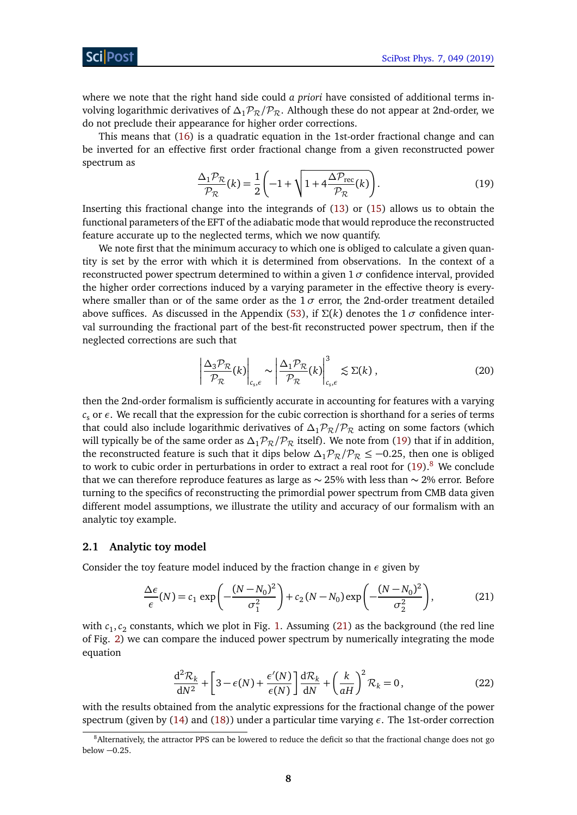where we note that the right hand side could *a priori* have consisted of additional terms involving logarithmic derivatives of  $\Delta_1P_\mathcal{R}/P_\mathcal{R}$ . Although these do not appear at 2nd-order, we do not preclude their appearance for higher order corrections.

<span id="page-7-1"></span>This means that [\(16\)](#page-6-1) is a quadratic equation in the 1st-order fractional change and can be inverted for an effective first order fractional change from a given reconstructed power spectrum as

$$
\frac{\Delta_1 \mathcal{P}_{\mathcal{R}}}{\mathcal{P}_{\mathcal{R}}}(k) = \frac{1}{2} \left( -1 + \sqrt{1 + 4 \frac{\Delta \mathcal{P}_{\text{rec}}}{\mathcal{P}_{\mathcal{R}}}(k)} \right). \tag{19}
$$

Inserting this fractional change into the integrands of [\(13\)](#page-6-0) or [\(15\)](#page-6-2) allows us to obtain the functional parameters of the EFT of the adiabatic mode that would reproduce the reconstructed feature accurate up to the neglected terms, which we now quantify.

We note first that the minimum accuracy to which one is obliged to calculate a given quantity is set by the error with which it is determined from observations. In the context of a reconstructed power spectrum determined to within a given  $1\sigma$  confidence interval, provided the higher order corrections induced by a varying parameter in the effective theory is everywhere smaller than or of the same order as the  $1\sigma$  error, the 2nd-order treatment detailed above suffices. As discussed in the Appendix [\(53\)](#page-18-1), if  $\Sigma(k)$  denotes the 1 $\sigma$  confidence interval surrounding the fractional part of the best-fit reconstructed power spectrum, then if the neglected corrections are such that

$$
\left| \frac{\Delta_3 \mathcal{P}_{\mathcal{R}}}{\mathcal{P}_{\mathcal{R}}}(k) \right|_{c_s, \epsilon} \sim \left| \frac{\Delta_1 \mathcal{P}_{\mathcal{R}}}{\mathcal{P}_{\mathcal{R}}}(k) \right|_{c_s, \epsilon}^3 \lesssim \Sigma(k) , \qquad (20)
$$

then the 2nd-order formalism is sufficiently accurate in accounting for features with a varying  $c<sub>s</sub>$  or  $\epsilon$ . We recall that the expression for the cubic correction is shorthand for a series of terms that could also include logarithmic derivatives of  $\Delta_1 \mathcal{P}_R/\mathcal{P}_R$  acting on some factors (which will typically be of the same order as  $\Delta_1 \mathcal{P}_R / \mathcal{P}_R$  itself). We note from [\(19\)](#page-7-1) that if in addition, the reconstructed feature is such that it dips below  $\Delta_1 P_R / P_R \leq -0.25$ , then one is obliged to work to cubic order in perturbations in order to extract a real root for  $(19)$ .<sup>[8](#page-7-2)</sup> We conclude that we can therefore reproduce features as large as ∼ 25% with less than ∼ 2% error. Before turning to the specifics of reconstructing the primordial power spectrum from CMB data given different model assumptions, we illustrate the utility and accuracy of our formalism with an analytic toy example.

#### <span id="page-7-0"></span>**2.1 Analytic toy model**

Consider the toy feature model induced by the fraction change in *ε* given by

$$
\frac{\Delta \epsilon}{\epsilon}(N) = c_1 \exp\left(-\frac{(N - N_0)^2}{\sigma_1^2}\right) + c_2 (N - N_0) \exp\left(-\frac{(N - N_0)^2}{\sigma_2^2}\right),\tag{21}
$$

with  $c_1, c_2$  constants, which we plot in Fig. [1.](#page-8-0) Assuming [\(21\)](#page-7-3) as the background (the red line of Fig. [2\)](#page-8-0) we can compare the induced power spectrum by numerically integrating the mode equation

<span id="page-7-3"></span>
$$
\frac{d^2 \mathcal{R}_k}{dN^2} + \left[3 - \epsilon(N) + \frac{\epsilon'(N)}{\epsilon(N)}\right] \frac{d \mathcal{R}_k}{dN} + \left(\frac{k}{aH}\right)^2 \mathcal{R}_k = 0, \tag{22}
$$

with the results obtained from the analytic expressions for the fractional change of the power spectrum (given by [\(14\)](#page-6-3) and [\(18\)](#page-6-4)) under a particular time varying *ε*. The 1st-order correction

<span id="page-7-2"></span><sup>&</sup>lt;sup>8</sup>Alternatively, the attractor PPS can be lowered to reduce the deficit so that the fractional change does not go below −0.25.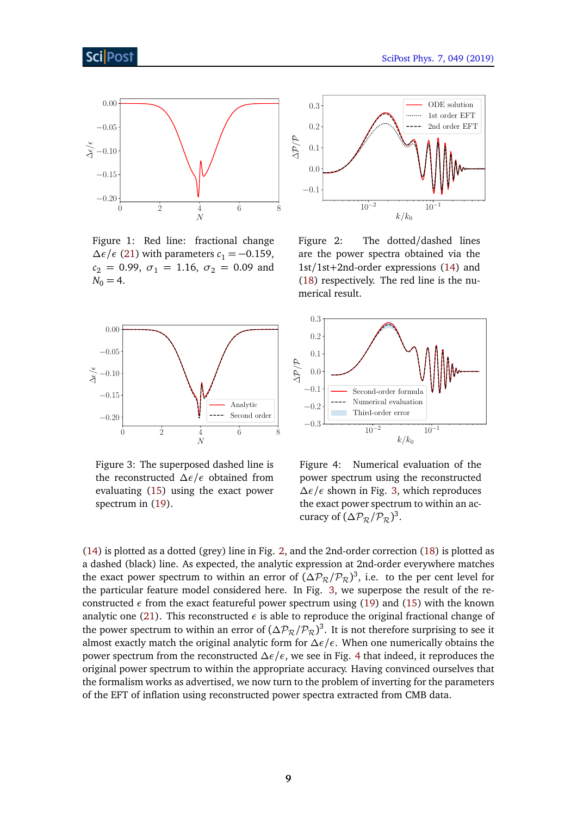<span id="page-8-0"></span>

Figure 1: Red line: fractional change  $\Delta \epsilon / \epsilon$  [\(21\)](#page-7-3) with parameters  $c_1 = -0.159$ ,  $c_2 = 0.99, \space \sigma_1 = 1.16, \space \sigma_2 = 0.09$  and  $N_0 = 4$ .

<span id="page-8-1"></span>

Figure 3: The superposed dashed line is the reconstructed *∆ε/ε* obtained from evaluating [\(15\)](#page-6-2) using the exact power spectrum in [\(19\)](#page-7-1).



Figure 2: The dotted/dashed lines are the power spectra obtained via the 1st/1st+2nd-order expressions [\(14\)](#page-6-3) and [\(18\)](#page-6-4) respectively. The red line is the numerical result.



Figure 4: Numerical evaluation of the power spectrum using the reconstructed *∆ε/ε* shown in Fig. [3,](#page-8-1) which reproduces the exact power spectrum to within an accuracy of  $(\Delta P_{\mathcal{R}}/P_{\mathcal{R}})^3$ .

[\(14\)](#page-6-3) is plotted as a dotted (grey) line in Fig. [2,](#page-8-0) and the 2nd-order correction [\(18\)](#page-6-4) is plotted as a dashed (black) line. As expected, the analytic expression at 2nd-order everywhere matches the exact power spectrum to within an error of  $(\Delta P_{\mathcal{R}}/P_{\mathcal{R}})^3$ , i.e. to the per cent level for the particular feature model considered here. In Fig. [3,](#page-8-1) we superpose the result of the reconstructed  $\epsilon$  from the exact featureful power spectrum using [\(19\)](#page-7-1) and [\(15\)](#page-6-2) with the known analytic one [\(21\)](#page-7-3). This reconstructed  $\epsilon$  is able to reproduce the original fractional change of the power spectrum to within an error of  $(\Delta P_{\mathcal{R}}/P_{\mathcal{R}})^3$ . It is not therefore surprising to see it almost exactly match the original analytic form for *∆ε/ε*. When one numerically obtains the power spectrum from the reconstructed *∆ε/ε*, we see in Fig. [4](#page-8-1) that indeed, it reproduces the original power spectrum to within the appropriate accuracy. Having convinced ourselves that the formalism works as advertised, we now turn to the problem of inverting for the parameters of the EFT of inflation using reconstructed power spectra extracted from CMB data.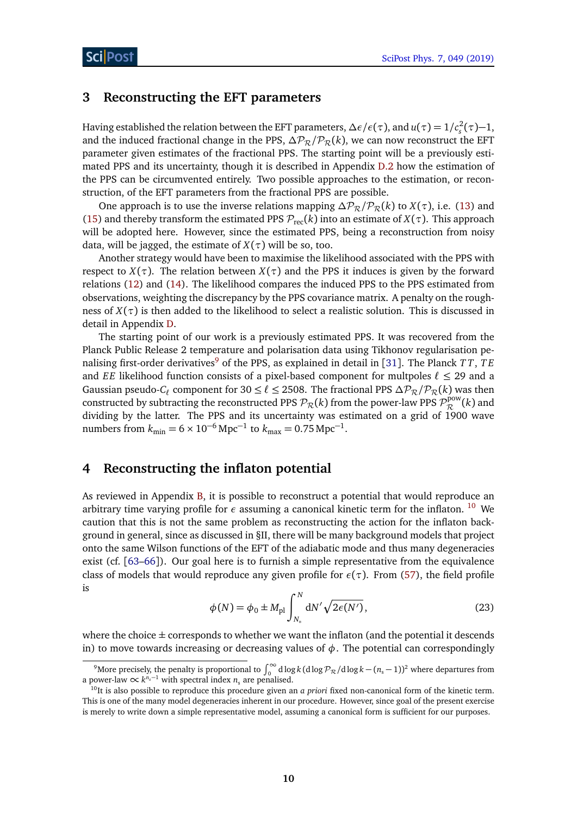#### <span id="page-9-0"></span>**3 Reconstructing the EFT parameters**

Having established the relation between the EFT parameters,  $\Delta \epsilon / \epsilon(\tau)$ , and  $u(\tau) = 1/c_s^2(\tau) - 1$ , and the induced fractional change in the PPS,  $\Delta P_R / P_R(k)$ , we can now reconstruct the EFT parameter given estimates of the fractional PPS. The starting point will be a previously estimated PPS and its uncertainty, though it is described in Appendix [D.2](#page-25-1) how the estimation of the PPS can be circumvented entirely. Two possible approaches to the estimation, or reconstruction, of the EFT parameters from the fractional PPS are possible.

One approach is to use the inverse relations mapping  $\Delta P_R / P_R(k)$  to  $X(\tau)$ , i.e. [\(13\)](#page-6-0) and [\(15\)](#page-6-2) and thereby transform the estimated PPS  $\mathcal{P}_{\text{rec}}(k)$  into an estimate of  $X(\tau)$ . This approach will be adopted here. However, since the estimated PPS, being a reconstruction from noisy data, will be jagged, the estimate of  $X(\tau)$  will be so, too.

Another strategy would have been to maximise the likelihood associated with the PPS with respect to *X*(*τ*). The relation between *X*(*τ*) and the PPS it induces is given by the forward relations [\(12\)](#page-6-5) and [\(14\)](#page-6-3). The likelihood compares the induced PPS to the PPS estimated from observations, weighting the discrepancy by the PPS covariance matrix. A penalty on the roughness of  $X(\tau)$  is then added to the likelihood to select a realistic solution. This is discussed in detail in Appendix [D.](#page-22-0)

The starting point of our work is a previously estimated PPS. It was recovered from the Planck Public Release 2 temperature and polarisation data using Tikhonov regularisation pe-nalising first-order derivatives<sup>[9](#page-9-2)</sup> of the PPS, as explained in detail in [[31](#page-27-0)]. The Planck *TT*, *TE* and *EE* likelihood function consists of a pixel-based component for multpoles  $\ell \leq 29$  and a Gaussian pseudo-*C*<sup> $\ell$ </sup> component for 30 ≤  $\ell$  ≤ 2508. The fractional PPS  $\Delta P_{\mathcal{R}}/P_{\mathcal{R}}(k)$  was then constructed by subtracting the reconstructed PPS  $\mathcal{P}_\mathcal{R}(k)$  from the power-law PPS  $\mathcal{P}_\mathcal{R}^{\rm pow}$  $\mathcal{R}^{\text{pow}}(k)$  and dividing by the latter. The PPS and its uncertainty was estimated on a grid of 1900 wave numbers from  $k_{\text{min}} = 6 \times 10^{-6} \text{ Mpc}^{-1}$  to  $k_{\text{max}} = 0.75 \text{ Mpc}^{-1}$ .

#### <span id="page-9-1"></span>**4 Reconstructing the inflaton potential**

As reviewed in Appendix [B,](#page-19-1) it is possible to reconstruct a potential that would reproduce an arbitrary time varying profile for  $\epsilon$  assuming a canonical kinetic term for the inflaton. <sup>[10](#page-9-3)</sup> We caution that this is not the same problem as reconstructing the action for the inflaton background in general, since as discussed in §II, there will be many background models that project onto the same Wilson functions of the EFT of the adiabatic mode and thus many degeneracies exist (cf. [[63–](#page-29-15)[66](#page-30-0)]). Our goal here is to furnish a simple representative from the equivalence class of models that would reproduce any given profile for *ε*(*τ*). From [\(57\)](#page-19-2), the field profile is

$$
\phi(N) = \phi_0 \pm M_{\text{pl}} \int_{N_*}^{N} dN' \sqrt{2\epsilon(N')},
$$
\n(23)

where the choice  $\pm$  corresponds to whether we want the inflaton (and the potential it descends in) to move towards increasing or decreasing values of  $\phi$ . The potential can correspondingly

<span id="page-9-2"></span><sup>&</sup>lt;sup>9</sup>More precisely, the penalty is proportional to  $\int_0^\infty d\log k$  ( $d\log\mathcal{P}_\mathcal{R}/d\log k - (n_s-1))^2$  where departures from a power-law  $\propto k^{n_s-1}$  with spectral index  $n_s$  are penalised.

<span id="page-9-3"></span><sup>&</sup>lt;sup>10</sup>It is also possible to reproduce this procedure given an *a priori* fixed non-canonical form of the kinetic term. This is one of the many model degeneracies inherent in our procedure. However, since goal of the present exercise is merely to write down a simple representative model, assuming a canonical form is sufficient for our purposes.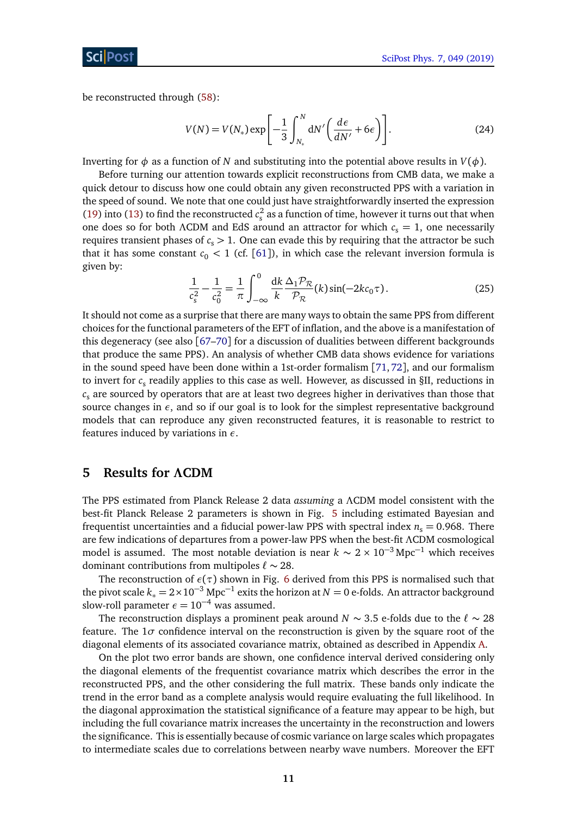be reconstructed through [\(58\)](#page-19-3):

<span id="page-10-1"></span>
$$
V(N) = V(N_*) \exp\left[-\frac{1}{3} \int_{N_*}^N dN' \left(\frac{d\epsilon}{dN'} + 6\epsilon\right)\right].
$$
 (24)

Inverting for  $\phi$  as a function of *N* and substituting into the potential above results in  $V(\phi)$ .

Before turning our attention towards explicit reconstructions from CMB data, we make a quick detour to discuss how one could obtain any given reconstructed PPS with a variation in the speed of sound. We note that one could just have straightforwardly inserted the expression [\(19\)](#page-7-1) into [\(13\)](#page-6-0) to find the reconstructed  $c_s^2$  as a function of time, however it turns out that when one does so for both *ΛCDM* and EdS around an attractor for which  $c_s = 1$ , one necessarily requires transient phases of  $c_s > 1$ . One can evade this by requiring that the attractor be such that it has some constant  $c_0 < 1$  (cf. [[61](#page-29-13)]), in which case the relevant inversion formula is given by:

$$
\frac{1}{c_s^2} - \frac{1}{c_0^2} = \frac{1}{\pi} \int_{-\infty}^0 \frac{dk}{k} \frac{\Delta_1 \mathcal{P}_{\mathcal{R}}}{\mathcal{P}_{\mathcal{R}}}(k) \sin(-2kc_0 \tau).
$$
 (25)

It should not come as a surprise that there are many ways to obtain the same PPS from different choices for the functional parameters of the EFT of inflation, and the above is a manifestation of this degeneracy (see also [[67–](#page-30-1)[70](#page-30-2)] for a discussion of dualities between different backgrounds that produce the same PPS). An analysis of whether CMB data shows evidence for variations in the sound speed have been done within a 1st-order formalism [[71,](#page-30-3)[72](#page-30-4)], and our formalism to invert for  $c_{\rm s}$  readily applies to this case as well. However, as discussed in §II, reductions in  $c<sub>s</sub>$  are sourced by operators that are at least two degrees higher in derivatives than those that source changes in *ε*, and so if our goal is to look for the simplest representative background models that can reproduce any given reconstructed features, it is reasonable to restrict to features induced by variations in *ε*.

### <span id="page-10-0"></span>**5 Results for** *Λ***CDM**

The PPS estimated from Planck Release 2 data *assuming* a *Λ*CDM model consistent with the best-fit Planck Release 2 parameters is shown in Fig. [5](#page-11-1) including estimated Bayesian and frequentist uncertainties and a fiducial power-law PPS with spectral index  $n<sub>s</sub> = 0.968$ . There are few indications of departures from a power-law PPS when the best-fit *Λ*CDM cosmological model is assumed. The most notable deviation is near  $k \sim 2 \times 10^{-3}$  Mpc<sup>-1</sup> which receives dominant contributions from multipoles  $\ell \sim 28$ .

The reconstruction of  $\epsilon(\tau)$  shown in Fig. [6](#page-12-1) derived from this PPS is normalised such that the pivot scale  $k_* = 2 \times 10^{-3}$  Mpc<sup>-1</sup> exits the horizon at  $N = 0$  e-folds. An attractor background slow-roll parameter  $\epsilon = 10^{-4}$  was assumed.

The reconstruction displays a prominent peak around *N*  $\sim$  3.5 e-folds due to the  $\ell \sim 28$ feature. The 1*σ* confidence interval on the reconstruction is given by the square root of the diagonal elements of its associated covariance matrix, obtained as described in Appendix [A.](#page-15-0)

On the plot two error bands are shown, one confidence interval derived considering only the diagonal elements of the frequentist covariance matrix which describes the error in the reconstructed PPS, and the other considering the full matrix. These bands only indicate the trend in the error band as a complete analysis would require evaluating the full likelihood. In the diagonal approximation the statistical significance of a feature may appear to be high, but including the full covariance matrix increases the uncertainty in the reconstruction and lowers the significance. This is essentially because of cosmic variance on large scales which propagates to intermediate scales due to correlations between nearby wave numbers. Moreover the EFT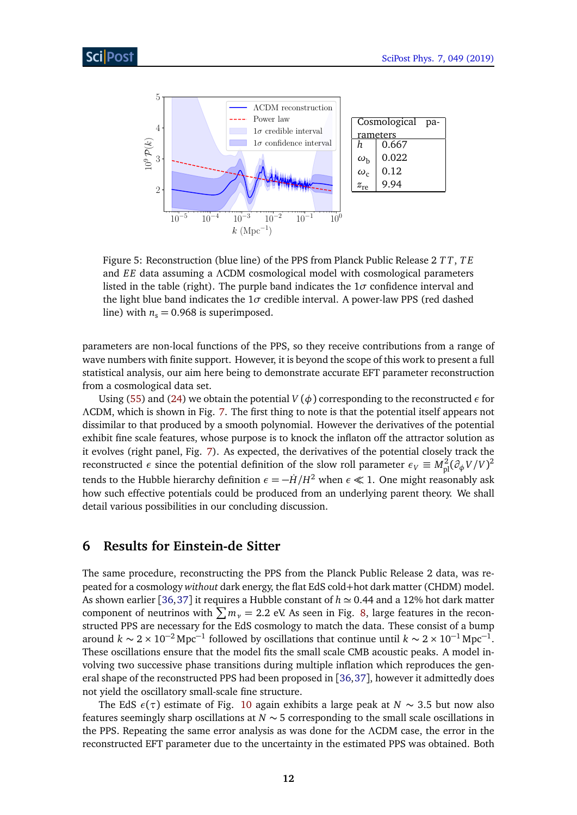<span id="page-11-1"></span>

Figure 5: Reconstruction (blue line) of the PPS from Planck Public Release 2 *T T*, *T E* and *EE* data assuming a *Λ*CDM cosmological model with cosmological parameters listed in the table (right). The purple band indicates the  $1\sigma$  confidence interval and the light blue band indicates the  $1\sigma$  credible interval. A power-law PPS (red dashed line) with  $n_s = 0.968$  is superimposed.

parameters are non-local functions of the PPS, so they receive contributions from a range of wave numbers with finite support. However, it is beyond the scope of this work to present a full statistical analysis, our aim here being to demonstrate accurate EFT parameter reconstruction from a cosmological data set.

Using [\(55\)](#page-19-4) and [\(24\)](#page-10-1) we obtain the potential  $V(\phi)$  corresponding to the reconstructed  $\epsilon$  for *Λ*CDM, which is shown in Fig. [7.](#page-12-0) The first thing to note is that the potential itself appears not dissimilar to that produced by a smooth polynomial. However the derivatives of the potential exhibit fine scale features, whose purpose is to knock the inflaton off the attractor solution as it evolves (right panel, Fig. [7\)](#page-12-0). As expected, the derivatives of the potential closely track the reconstructed *ε* since the potential definition of the slow roll parameter  $\epsilon_V \equiv M_{\rm pl}^2 (\partial_\phi V/V)^2$ tends to the Hubble hierarchy definition  $\epsilon = -\dot{H}/H^2$  when  $\epsilon \ll 1$ . One might reasonably ask how such effective potentials could be produced from an underlying parent theory. We shall detail various possibilities in our concluding discussion.

## <span id="page-11-0"></span>**6 Results for Einstein-de Sitter**

The same procedure, reconstructing the PPS from the Planck Public Release 2 data, was repeated for a cosmology *without* dark energy, the flat EdS cold+hot dark matter (CHDM) model. As shown earlier [[36,](#page-28-1)[37](#page-28-4)] it requires a Hubble constant of  $h \approx 0.44$  and a 12% hot dark matter component of neutrinos with  $\sum m_{\nu} = 2.2$  eV. As seen in Fig. [8,](#page-13-2) large features in the reconstructed PPS are necessary for the EdS cosmology to match the data. These consist of a bump around  $k \sim 2 \times 10^{-2}$  Mpc<sup>-1</sup> followed by oscillations that continue until  $k \sim 2 \times 10^{-1}$  Mpc<sup>-1</sup>. These oscillations ensure that the model fits the small scale CMB acoustic peaks. A model involving two successive phase transitions during multiple inflation which reproduces the general shape of the reconstructed PPS had been proposed in [[36,](#page-28-1)[37](#page-28-4)], however it admittedly does not yield the oscillatory small-scale fine structure.

The EdS  $\epsilon(\tau)$  estimate of Fig. [10](#page-14-0) again exhibits a large peak at *N* ∼ 3.5 but now also features seemingly sharp oscillations at *N* ∼ 5 corresponding to the small scale oscillations in the PPS. Repeating the same error analysis as was done for the *Λ*CDM case, the error in the reconstructed EFT parameter due to the uncertainty in the estimated PPS was obtained. Both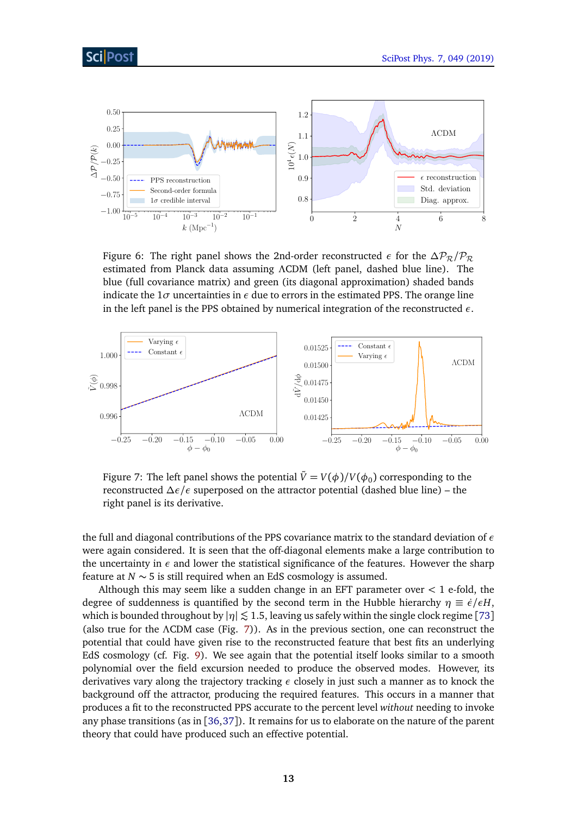<span id="page-12-1"></span>

Figure 6: The right panel shows the 2nd-order reconstructed  $\epsilon$  for the  $\Delta P_{\mathcal{R}}/P_{\mathcal{R}}$ estimated from Planck data assuming *Λ*CDM (left panel, dashed blue line). The blue (full covariance matrix) and green (its diagonal approximation) shaded bands indicate the  $1\sigma$  uncertainties in  $\epsilon$  due to errors in the estimated PPS. The orange line in the left panel is the PPS obtained by numerical integration of the reconstructed *ε*.

<span id="page-12-0"></span>

Figure 7: The left panel shows the potential  $\tilde{V}=V(\phi)/V(\phi_0)$  corresponding to the reconstructed *∆ε/ε* superposed on the attractor potential (dashed blue line) – the right panel is its derivative.

the full and diagonal contributions of the PPS covariance matrix to the standard deviation of *ε* were again considered. It is seen that the off-diagonal elements make a large contribution to the uncertainty in  $\epsilon$  and lower the statistical significance of the features. However the sharp feature at *N* ∼ 5 is still required when an EdS cosmology is assumed.

Although this may seem like a sudden change in an EFT parameter over *<* 1 e-fold, the degree of suddenness is quantified by the second term in the Hubble hierarchy  $\eta \equiv \dot{\epsilon}/\epsilon H$ , which is bounded throughout by  $|\eta| \lesssim 1.5$ , leaving us safely within the single clock regime [[73](#page-30-5)] (also true for the *Λ*CDM case (Fig. [7\)](#page-12-0)). As in the previous section, one can reconstruct the potential that could have given rise to the reconstructed feature that best fits an underlying EdS cosmology (cf. Fig. [9\)](#page-13-1). We see again that the potential itself looks similar to a smooth polynomial over the field excursion needed to produce the observed modes. However, its derivatives vary along the trajectory tracking *ε* closely in just such a manner as to knock the background off the attractor, producing the required features. This occurs in a manner that produces a fit to the reconstructed PPS accurate to the percent level *without* needing to invoke any phase transitions (as in [[36,](#page-28-1)[37](#page-28-4)]). It remains for us to elaborate on the nature of the parent theory that could have produced such an effective potential.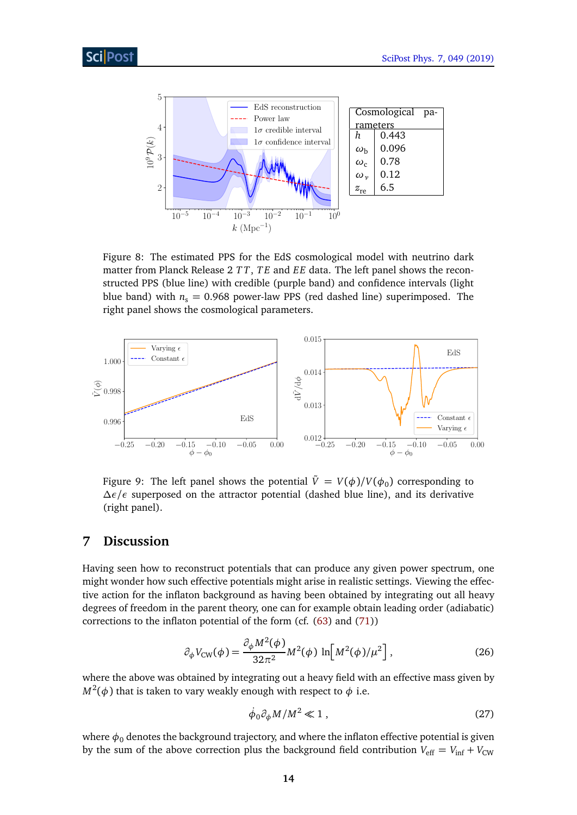<span id="page-13-2"></span>

Figure 8: The estimated PPS for the EdS cosmological model with neutrino dark matter from Planck Release 2 *T T*, *T E* and *EE* data. The left panel shows the reconstructed PPS (blue line) with credible (purple band) and confidence intervals (light blue band) with  $n_s = 0.968$  power-law PPS (red dashed line) superimposed. The right panel shows the cosmological parameters.

<span id="page-13-1"></span>

Figure 9: The left panel shows the potential  $\tilde{V} \,=\, V(\phi)/V(\phi_0)$  corresponding to *∆ε/ε* superposed on the attractor potential (dashed blue line), and its derivative (right panel).

#### <span id="page-13-0"></span>**7 Discussion**

Having seen how to reconstruct potentials that can produce any given power spectrum, one might wonder how such effective potentials might arise in realistic settings. Viewing the effective action for the inflaton background as having been obtained by integrating out all heavy degrees of freedom in the parent theory, one can for example obtain leading order (adiabatic) corrections to the inflaton potential of the form (cf. [\(63\)](#page-20-1) and [\(71\)](#page-21-0))

$$
\partial_{\phi} V_{\text{CW}}(\phi) = \frac{\partial_{\phi} M^2(\phi)}{32\pi^2} M^2(\phi) \ln \left[ M^2(\phi) / \mu^2 \right],\tag{26}
$$

where the above was obtained by integrating out a heavy field with an effective mass given by  $M^2(\phi)$  that is taken to vary weakly enough with respect to  $\phi$  i.e.

<span id="page-13-3"></span>
$$
\dot{\phi}_0 \partial_\phi M / M^2 \ll 1 \,, \tag{27}
$$

where  $\phi_0$  denotes the background trajectory, and where the inflaton effective potential is given by the sum of the above correction plus the background field contribution  $V_{\text{eff}} = V_{\text{inf}} + V_{\text{CW}}$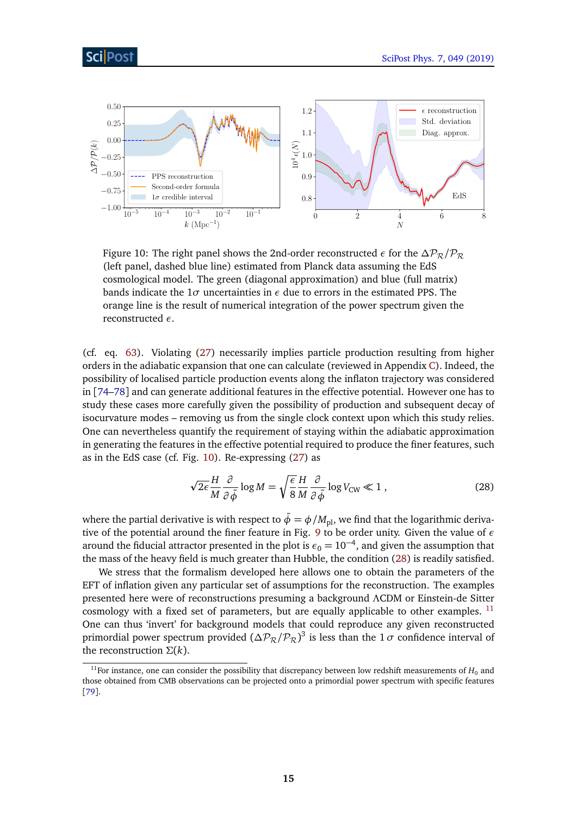<span id="page-14-0"></span>

Figure 10: The right panel shows the 2nd-order reconstructed  $\epsilon$  for the  $\Delta P_R / P_R$ (left panel, dashed blue line) estimated from Planck data assuming the EdS cosmological model. The green (diagonal approximation) and blue (full matrix) bands indicate the  $1\sigma$  uncertainties in  $\epsilon$  due to errors in the estimated PPS. The orange line is the result of numerical integration of the power spectrum given the reconstructed *ε*.

(cf. eq. [63\)](#page-20-1). Violating [\(27\)](#page-13-3) necessarily implies particle production resulting from higher orders in the adiabatic expansion that one can calculate (reviewed in Appendix [C\)](#page-20-0). Indeed, the possibility of localised particle production events along the inflaton trajectory was considered in [[74–](#page-30-6)[78](#page-30-7)] and can generate additional features in the effective potential. However one has to study these cases more carefully given the possibility of production and subsequent decay of isocurvature modes – removing us from the single clock context upon which this study relies. One can nevertheless quantify the requirement of staying within the adiabatic approximation in generating the features in the effective potential required to produce the finer features, such as in the EdS case (cf. Fig. [10\)](#page-14-0). Re-expressing [\(27\)](#page-13-3) as

<span id="page-14-1"></span>
$$
\sqrt{2\epsilon} \frac{H}{M} \frac{\partial}{\partial \tilde{\phi}} \log M = \sqrt{\frac{\epsilon}{8}} \frac{H}{M} \frac{\partial}{\partial \tilde{\phi}} \log V_{\rm CW} \ll 1 , \qquad (28)
$$

where the partial derivative is with respect to  $\tilde{\phi} = \phi / M_{\text{pl}}$ , we find that the logarithmic derivative of the potential around the finer feature in Fig. [9](#page-13-1) to be order unity. Given the value of *ε* around the fiducial attractor presented in the plot is  $\epsilon_0 = 10^{-4}$ , and given the assumption that the mass of the heavy field is much greater than Hubble, the condition [\(28\)](#page-14-1) is readily satisfied.

We stress that the formalism developed here allows one to obtain the parameters of the EFT of inflation given any particular set of assumptions for the reconstruction. The examples presented here were of reconstructions presuming a background *Λ*CDM or Einstein-de Sitter cosmology with a fixed set of parameters, but are equally applicable to other examples.  $^{11}$  $^{11}$  $^{11}$ One can thus 'invert' for background models that could reproduce any given reconstructed primordial power spectrum provided  $(\Delta P_{\mathcal{R}}/P_{\mathcal{R}})^3$  is less than the 1  $\sigma$  confidence interval of the reconstruction *Σ*(*k*).

<span id="page-14-2"></span><sup>&</sup>lt;sup>11</sup>For instance, one can consider the possibility that discrepancy between low redshift measurements of  $H_0$  and those obtained from CMB observations can be projected onto a primordial power spectrum with specific features [[79](#page-30-8)].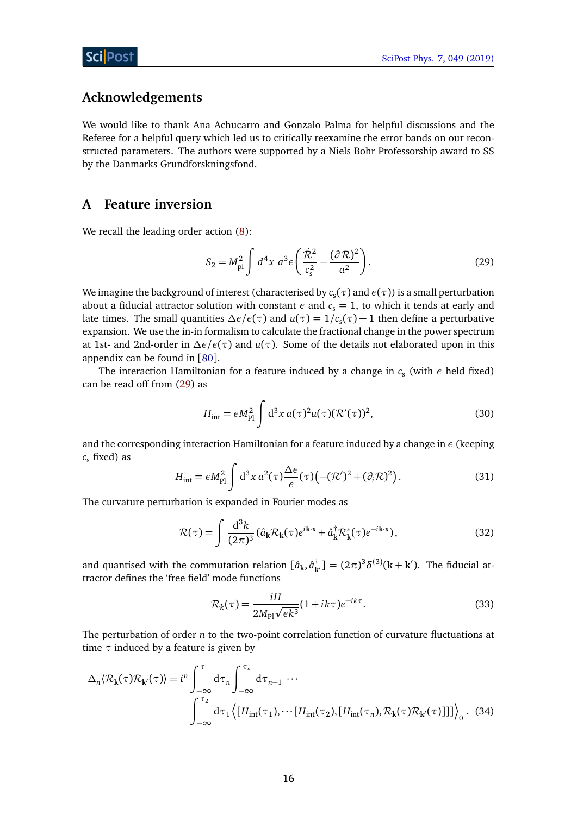#### **Acknowledgements**

We would like to thank Ana Achucarro and Gonzalo Palma for helpful discussions and the Referee for a helpful query which led us to critically reexamine the error bands on our reconstructed parameters. The authors were supported by a Niels Bohr Professorship award to SS by the Danmarks Grundforskningsfond.

#### <span id="page-15-0"></span>**A Feature inversion**

We recall the leading order action [\(8\)](#page-5-4):

<span id="page-15-1"></span>
$$
S_2 = M_{\rm pl}^2 \int d^4 x \; a^3 \epsilon \left( \frac{\dot{\mathcal{R}}^2}{c_s^2} - \frac{(\partial \mathcal{R})^2}{a^2} \right).
$$
 (29)

We imagine the background of interest (characterised by  $c_{\rm s}(\tau)$  and  $\epsilon(\tau)$ ) is a small perturbation about a fiducial attractor solution with constant  $\epsilon$  and  $c_s = 1$ , to which it tends at early and late times. The small quantities  $\Delta \epsilon / \epsilon(\tau)$  and  $u(\tau) = 1/c_s(\tau) - 1$  then define a perturbative expansion. We use the in-in formalism to calculate the fractional change in the power spectrum at 1st- and 2nd-order in *∆ε/ε*(*τ*) and *u*(*τ*). Some of the details not elaborated upon in this appendix can be found in [[80](#page-31-0)].

The interaction Hamiltonian for a feature induced by a change in  $c_s$  (with  $\epsilon$  held fixed) can be read off from [\(29\)](#page-15-1) as

<span id="page-15-2"></span>
$$
H_{\rm int} = \epsilon M_{\rm Pl}^2 \int d^3x \, a(\tau)^2 u(\tau) (\mathcal{R}'(\tau))^2, \tag{30}
$$

and the corresponding interaction Hamiltonian for a feature induced by a change in *ε* (keeping  $c<sub>s</sub>$  fixed) as

$$
H_{\rm int} = \epsilon M_{\rm Pl}^2 \int d^3x \, a^2(\tau) \frac{\Delta \epsilon}{\epsilon}(\tau) \left( -(\mathcal{R}')^2 + (\partial_i \mathcal{R})^2 \right). \tag{31}
$$

The curvature perturbation is expanded in Fourier modes as

$$
\mathcal{R}(\tau) = \int \frac{\mathrm{d}^3 k}{(2\pi)^3} \left( \hat{a}_k \mathcal{R}_k(\tau) e^{i\mathbf{k} \cdot \mathbf{x}} + \hat{a}_k^\dagger \mathcal{R}_k^*(\tau) e^{-i\mathbf{k} \cdot \mathbf{x}} \right),\tag{32}
$$

and quantised with the commutation relation  $[\hat{a}_k, \hat{a}_{k'}^{\dagger}] = (2\pi)^3 \delta^{(3)}(k + k')$ . The fiducial attractor defines the 'free field' mode functions

<span id="page-15-4"></span><span id="page-15-3"></span>
$$
\mathcal{R}_k(\tau) = \frac{iH}{2M_{\text{Pl}}\sqrt{\epsilon k^3}} (1 + ik\tau)e^{-ik\tau}.
$$
\n(33)

The perturbation of order *n* to the two-point correlation function of curvature fluctuations at time *τ* induced by a feature is given by

$$
\Delta_n \langle \mathcal{R}_{\mathbf{k}}(\tau) \mathcal{R}_{\mathbf{k}'}(\tau) \rangle = i^n \int_{-\infty}^{\tau} d\tau_n \int_{-\infty}^{\tau_n} d\tau_{n-1} \cdots
$$

$$
\int_{-\infty}^{\tau_2} d\tau_1 \langle [H_{\text{int}}(\tau_1), \cdots [H_{\text{int}}(\tau_2), [H_{\text{int}}(\tau_n), \mathcal{R}_{\mathbf{k}}(\tau) \mathcal{R}_{\mathbf{k}'}(\tau)]]] \rangle_0. (34)
$$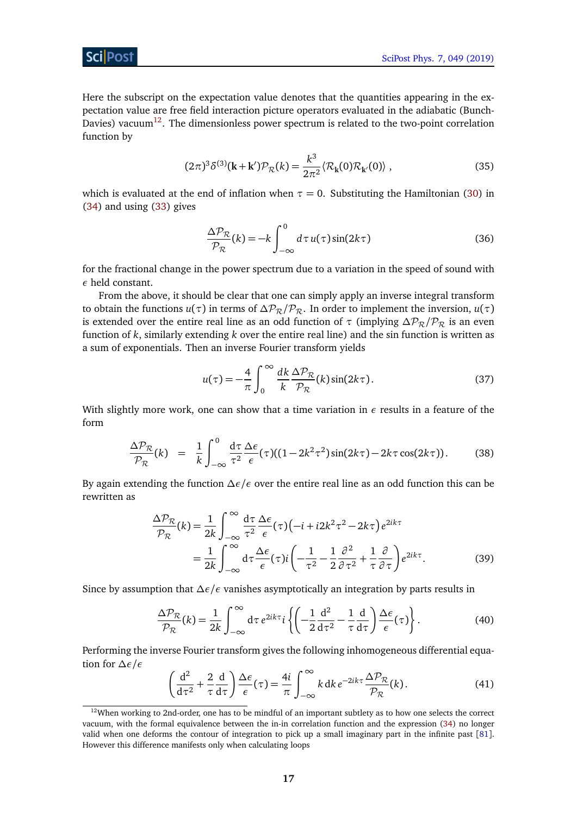Sci Post

Here the subscript on the expectation value denotes that the quantities appearing in the expectation value are free field interaction picture operators evaluated in the adiabatic (Bunch-Davies) vacuum<sup>[12](#page-16-0)</sup>. The dimensionless power spectrum is related to the two-point correlation function by

$$
(2\pi)^3 \delta^{(3)}(\mathbf{k} + \mathbf{k}') \mathcal{P}_\mathcal{R}(k) = \frac{k^3}{2\pi^2} \langle \mathcal{R}_{\mathbf{k}}(0) \mathcal{R}_{\mathbf{k}'}(0) \rangle , \qquad (35)
$$

which is evaluated at the end of inflation when  $\tau = 0$ . Substituting the Hamiltonian [\(30\)](#page-15-2) in [\(34\)](#page-15-3) and using [\(33\)](#page-15-4) gives

<span id="page-16-1"></span>
$$
\frac{\Delta \mathcal{P}_{\mathcal{R}}}{\mathcal{P}_{\mathcal{R}}}(k) = -k \int_{-\infty}^{0} d\tau \, u(\tau) \sin(2k\tau) \tag{36}
$$

for the fractional change in the power spectrum due to a variation in the speed of sound with *ε* held constant.

From the above, it should be clear that one can simply apply an inverse integral transform to obtain the functions  $u(\tau)$  in terms of  $\Delta P_R/P_R$ . In order to implement the inversion,  $u(\tau)$ is extended over the entire real line as an odd function of  $\tau$  (implying  $\Delta P_R / P_R$  is an even function of *k*, similarly extending *k* over the entire real line) and the sin function is written as a sum of exponentials. Then an inverse Fourier transform yields

<span id="page-16-3"></span>
$$
u(\tau) = -\frac{4}{\pi} \int_0^\infty \frac{dk}{k} \frac{\Delta \mathcal{P}_{\mathcal{R}}}{\mathcal{P}_{\mathcal{R}}}(k) \sin(2k\tau). \tag{37}
$$

With slightly more work, one can show that a time variation in *ε* results in a feature of the form

$$
\frac{\Delta \mathcal{P}_{\mathcal{R}}}{\mathcal{P}_{\mathcal{R}}}(k) = \frac{1}{k} \int_{-\infty}^{0} \frac{d\tau}{\tau^{2}} \frac{\Delta \epsilon}{\epsilon}(\tau) ((1 - 2k^{2} \tau^{2}) \sin(2k\tau) - 2k\tau \cos(2k\tau)). \tag{38}
$$

By again extending the function *∆ε/ε* over the entire real line as an odd function this can be rewritten as

$$
\frac{\Delta \mathcal{P}_{\mathcal{R}}}{\mathcal{P}_{\mathcal{R}}}(k) = \frac{1}{2k} \int_{-\infty}^{\infty} \frac{d\tau}{\tau^2} \frac{\Delta \epsilon}{\epsilon}(\tau) \left(-i + i2k^2 \tau^2 - 2k\tau\right) e^{2ik\tau} \n= \frac{1}{2k} \int_{-\infty}^{\infty} d\tau \frac{\Delta \epsilon}{\epsilon}(\tau) i \left(-\frac{1}{\tau^2} - \frac{1}{2} \frac{\partial^2}{\partial \tau^2} + \frac{1}{\tau} \frac{\partial}{\partial \tau}\right) e^{2ik\tau}.
$$
\n(39)

Since by assumption that *∆ε/ε* vanishes asymptotically an integration by parts results in

<span id="page-16-2"></span>
$$
\frac{\Delta \mathcal{P}_{\mathcal{R}}}{\mathcal{P}_{\mathcal{R}}}(k) = \frac{1}{2k} \int_{-\infty}^{\infty} d\tau \, e^{2ik\tau} i \left\{ \left( -\frac{1}{2} \frac{d^2}{d\tau^2} - \frac{1}{\tau} \frac{d}{d\tau} \right) \frac{\Delta \epsilon}{\epsilon}(\tau) \right\}.
$$
 (40)

Performing the inverse Fourier transform gives the following inhomogeneous differential equation for *∆ε/ε*

$$
\left(\frac{\mathrm{d}^2}{\mathrm{d}\tau^2} + \frac{2}{\tau} \frac{\mathrm{d}}{\mathrm{d}\tau}\right) \frac{\Delta \epsilon}{\epsilon}(\tau) = \frac{4i}{\pi} \int_{-\infty}^{\infty} k \,\mathrm{d}k \, e^{-2ik\tau} \frac{\Delta \mathcal{P}_{\mathcal{R}}}{\mathcal{P}_{\mathcal{R}}}(k). \tag{41}
$$

<span id="page-16-0"></span><sup>&</sup>lt;sup>12</sup>When working to 2nd-order, one has to be mindful of an important subtlety as to how one selects the correct vacuum, with the formal equivalence between the in-in correlation function and the expression [\(34\)](#page-15-3) no longer valid when one deforms the contour of integration to pick up a small imaginary part in the infinite past [[81](#page-31-1)]. However this difference manifests only when calculating loops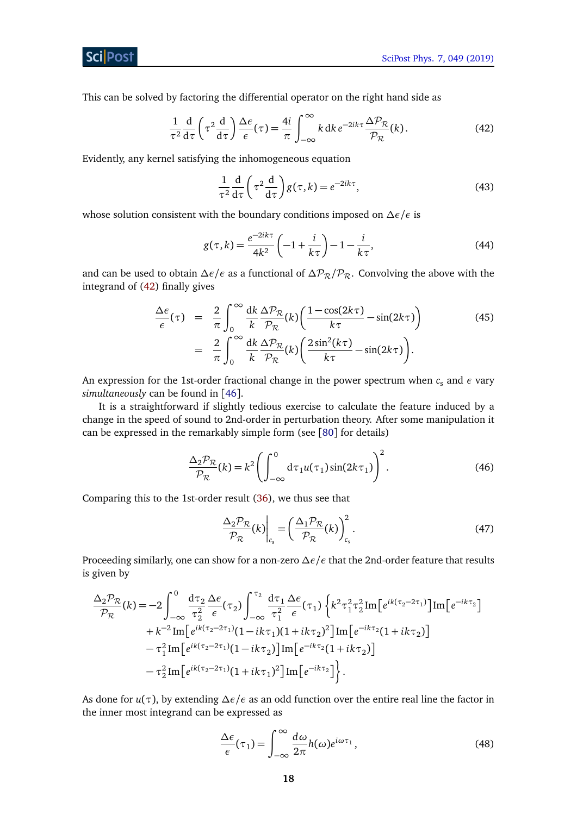**ScilPost** 

This can be solved by factoring the differential operator on the right hand side as

$$
\frac{1}{\tau^2} \frac{d}{d\tau} \left( \tau^2 \frac{d}{d\tau} \right) \frac{\Delta \epsilon}{\epsilon}(\tau) = \frac{4i}{\pi} \int_{-\infty}^{\infty} k \, dk \, e^{-2ik\tau} \frac{\Delta \mathcal{P}_{\mathcal{R}}}{\mathcal{P}_{\mathcal{R}}}(k). \tag{42}
$$

Evidently, any kernel satisfying the inhomogeneous equation

<span id="page-17-3"></span>
$$
\frac{1}{\tau^2} \frac{d}{d\tau} \left( \tau^2 \frac{d}{d\tau} \right) g(\tau, k) = e^{-2ik\tau},\tag{43}
$$

whose solution consistent with the boundary conditions imposed on *∆ε/ε* is

$$
g(\tau, k) = \frac{e^{-2ik\tau}}{4k^2} \left( -1 + \frac{i}{k\tau} \right) - 1 - \frac{i}{k\tau},
$$
 (44)

and can be used to obtain  $\Delta \epsilon / \epsilon$  as a functional of  $\Delta \mathcal{P}_R / \mathcal{P}_R$ . Convolving the above with the integrand of [\(42\)](#page-17-3) finally gives

<span id="page-17-0"></span>
$$
\frac{\Delta \epsilon}{\epsilon}(\tau) = \frac{2}{\pi} \int_0^\infty \frac{dk}{k} \frac{\Delta \mathcal{P}_{\mathcal{R}}}{\mathcal{P}_{\mathcal{R}}}(k) \left( \frac{1 - \cos(2k\tau)}{k\tau} - \sin(2k\tau) \right) \n= \frac{2}{\pi} \int_0^\infty \frac{dk}{k} \frac{\Delta \mathcal{P}_{\mathcal{R}}}{\mathcal{P}_{\mathcal{R}}}(k) \left( \frac{2\sin^2(k\tau)}{k\tau} - \sin(2k\tau) \right).
$$
\n(45)

An expression for the 1st-order fractional change in the power spectrum when *c*<sub>s</sub> and *ε* vary *simultaneously* can be found in [[46](#page-28-12)].

It is a straightforward if slightly tedious exercise to calculate the feature induced by a change in the speed of sound to 2nd-order in perturbation theory. After some manipulation it can be expressed in the remarkably simple form (see [[80](#page-31-0)] for details)

$$
\frac{\Delta_2 \mathcal{P}_{\mathcal{R}}}{\mathcal{P}_{\mathcal{R}}}(k) = k^2 \left( \int_{-\infty}^0 d\tau_1 u(\tau_1) \sin(2k\tau_1) \right)^2.
$$
 (46)

Comparing this to the 1st-order result [\(36\)](#page-16-1), we thus see that

<span id="page-17-2"></span><span id="page-17-1"></span>
$$
\left. \frac{\Delta_2 \mathcal{P}_{\mathcal{R}}}{\mathcal{P}_{\mathcal{R}}}(k) \right|_{c_s} = \left( \frac{\Delta_1 \mathcal{P}_{\mathcal{R}}}{\mathcal{P}_{\mathcal{R}}}(k) \right)_{c_s}^2.
$$
\n(47)

Proceeding similarly, one can show for a non-zero *∆ε/ε* that the 2nd-order feature that results is given by

$$
\frac{\Delta_2 \mathcal{P}_{\mathcal{R}}}{\mathcal{P}_{\mathcal{R}}}(k) = -2 \int_{-\infty}^{0} \frac{d\tau_2}{\tau_2^2} \frac{\Delta \epsilon}{\epsilon}(\tau_2) \int_{-\infty}^{\tau_2} \frac{d\tau_1}{\tau_1^2} \frac{\Delta \epsilon}{\epsilon}(\tau_1) \left\{ k^2 \tau_1^2 \tau_2^2 \text{Im} \left[ e^{ik(\tau_2 - 2\tau_1)} \right] \text{Im} \left[ e^{-ik\tau_2} \right] \right. \\ \left. + k^{-2} \text{Im} \left[ e^{ik(\tau_2 - 2\tau_1)} (1 - ik\tau_1)(1 + ik\tau_2)^2 \right] \text{Im} \left[ e^{-ik\tau_2} (1 + ik\tau_2) \right] \\ \left. - \tau_1^2 \text{Im} \left[ e^{ik(\tau_2 - 2\tau_1)} (1 - ik\tau_2) \right] \text{Im} \left[ e^{-ik\tau_2} (1 + ik\tau_2) \right] \right. \\ \left. - \tau_2^2 \text{Im} \left[ e^{ik(\tau_2 - 2\tau_1)} (1 + ik\tau_1)^2 \right] \text{Im} \left[ e^{-ik\tau_2} \right] \right\}.
$$

As done for *u*(*τ*), by extending *∆ε/ε* as an odd function over the entire real line the factor in the inner most integrand can be expressed as

$$
\frac{\Delta \epsilon}{\epsilon}(\tau_1) = \int_{-\infty}^{\infty} \frac{d\omega}{2\pi} h(\omega) e^{i\omega \tau_1},\tag{48}
$$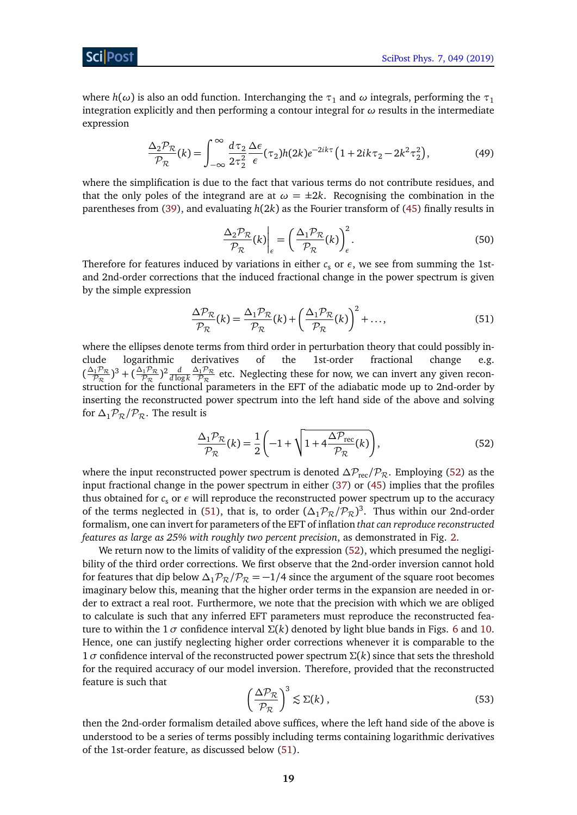where  $h(\omega)$  is also an odd function. Interchanging the  $\tau_1$  and  $\omega$  integrals, performing the  $\tau_1$ integration explicitly and then performing a contour integral for *ω* results in the intermediate expression

$$
\frac{\Delta_2 \mathcal{P}_{\mathcal{R}}}{\mathcal{P}_{\mathcal{R}}}(k) = \int_{-\infty}^{\infty} \frac{d\tau_2}{2\tau_2^2} \frac{\Delta \epsilon}{\epsilon}(\tau_2) h(2k) e^{-2ik\tau} \left(1 + 2ik\tau_2 - 2k^2\tau_2^2\right),\tag{49}
$$

<span id="page-18-0"></span>where the simplification is due to the fact that various terms do not contribute residues, and that the only poles of the integrand are at  $\omega = \pm 2k$ . Recognising the combination in the parentheses from [\(39\)](#page-16-2), and evaluating *h*(2*k*) as the Fourier transform of [\(45\)](#page-17-0) finally results in

$$
\left. \frac{\Delta_2 \mathcal{P}_{\mathcal{R}}}{\mathcal{P}_{\mathcal{R}}} (k) \right|_{\epsilon} = \left( \frac{\Delta_1 \mathcal{P}_{\mathcal{R}}}{\mathcal{P}_{\mathcal{R}}} (k) \right)_{\epsilon}^2.
$$
\n(50)

Therefore for features induced by variations in either  $c<sub>s</sub>$  or  $\epsilon$ , we see from summing the 1stand 2nd-order corrections that the induced fractional change in the power spectrum is given by the simple expression

<span id="page-18-3"></span>
$$
\frac{\Delta \mathcal{P}_{\mathcal{R}}}{\mathcal{P}_{\mathcal{R}}}(k) = \frac{\Delta_1 \mathcal{P}_{\mathcal{R}}}{\mathcal{P}_{\mathcal{R}}}(k) + \left(\frac{\Delta_1 \mathcal{P}_{\mathcal{R}}}{\mathcal{P}_{\mathcal{R}}}(k)\right)^2 + \dots,\tag{51}
$$

where the ellipses denote terms from third order in perturbation theory that could possibly include logarithmic derivatives of the 1st-order fractional change e.g.  $\left(\frac{\Delta_1 \mathcal{P}_{\mathcal{R}}}{\mathcal{P}_{\mathcal{R}}} \right)$  $(\frac{\partial_1 \mathcal{P}_{\mathcal{R}}}{\mathcal{P}_{\mathcal{R}}})^3 + (\frac{\Delta_1 \mathcal{P}_{\mathcal{R}}}{\mathcal{P}_{\mathcal{R}}})^2 \frac{d}{d \log k}$ *∆*1P<sup>R</sup>  $\frac{p_1 p_{\mathcal{R}}}{p_{\mathcal{R}}}$  etc. Neglecting these for now, we can invert any given reconstruction for the functional parameters in the EFT of the adiabatic mode up to 2nd-order by inserting the reconstructed power spectrum into the left hand side of the above and solving for  $\Delta_1 \mathcal{P}_R / \mathcal{P}_R$ . The result is

<span id="page-18-2"></span>
$$
\frac{\Delta_1 \mathcal{P}_{\mathcal{R}}}{\mathcal{P}_{\mathcal{R}}}(k) = \frac{1}{2} \left( -1 + \sqrt{1 + 4 \frac{\Delta \mathcal{P}_{\text{rec}}}{\mathcal{P}_{\mathcal{R}}}(k)} \right),\tag{52}
$$

where the input reconstructed power spectrum is denoted  $\Delta P_{\text{rec}}/P_{\mathcal{R}}$ . Employing [\(52\)](#page-18-2) as the input fractional change in the power spectrum in either [\(37\)](#page-16-3) or [\(45\)](#page-17-0) implies that the profiles thus obtained for  $c_s$  or  $\epsilon$  will reproduce the reconstructed power spectrum up to the accuracy of the terms neglected in [\(51\)](#page-18-3), that is, to order  $(\Delta_1 \mathcal{P}_R/\mathcal{P}_R)^3$ . Thus within our 2nd-order formalism, one can invert for parameters of the EFT of inflation *that can reproduce reconstructed features as large as 25% with roughly two percent precision*, as demonstrated in Fig. [2.](#page-8-0)

We return now to the limits of validity of the expression [\(52\)](#page-18-2), which presumed the negligibility of the third order corrections. We first observe that the 2nd-order inversion cannot hold for features that dip below  $\Delta_1 P_R / P_R = -1/4$  since the argument of the square root becomes imaginary below this, meaning that the higher order terms in the expansion are needed in order to extract a real root. Furthermore, we note that the precision with which we are obliged to calculate is such that any inferred EFT parameters must reproduce the reconstructed feature to within the 1 *σ* confidence interval  $\Sigma(k)$  denoted by light blue bands in Figs. [6](#page-12-1) and [10.](#page-14-0) Hence, one can justify neglecting higher order corrections whenever it is comparable to the 1 *σ* confidence interval of the reconstructed power spectrum *Σ*(*k*) since that sets the threshold for the required accuracy of our model inversion. Therefore, provided that the reconstructed feature is such that

<span id="page-18-1"></span>
$$
\left(\frac{\Delta \mathcal{P}_{\mathcal{R}}}{\mathcal{P}_{\mathcal{R}}}\right)^3 \lesssim \Sigma(k) \,,\tag{53}
$$

then the 2nd-order formalism detailed above suffices, where the left hand side of the above is understood to be a series of terms possibly including terms containing logarithmic derivatives of the 1st-order feature, as discussed below [\(51\)](#page-18-3).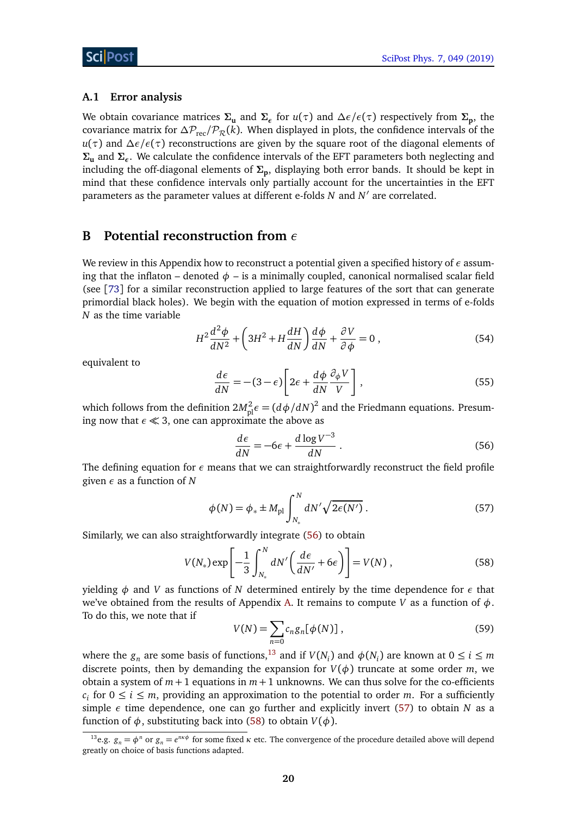#### <span id="page-19-0"></span>**A.1 Error analysis**

We obtain covariance matrices **Σ<sup>u</sup>** and **Σ***<sup>ε</sup>* for *u*(*τ*) and *∆ε/ε*(*τ*) respectively from **Σ<sup>p</sup>** , the covariance matrix for  $\Delta P_{\text{rec}}/P_{\mathcal{R}}(k)$ . When displayed in plots, the confidence intervals of the *u*(*τ*) and Δ*ε/ε*(*τ*) reconstructions are given by the square root of the diagonal elements of **Σ<sup>u</sup>** and **Σ***<sup>ε</sup>* . We calculate the confidence intervals of the EFT parameters both neglecting and including the off-diagonal elements of **Σ<sup>p</sup>** , displaying both error bands. It should be kept in mind that these confidence intervals only partially account for the uncertainties in the EFT parameters as the parameter values at different e-folds *N* and *N'* are correlated.

#### <span id="page-19-1"></span>**B Potential reconstruction from** *ε*

We review in this Appendix how to reconstruct a potential given a specified history of *ε* assuming that the inflaton – denoted  $\phi$  – is a minimally coupled, canonical normalised scalar field (see [[73](#page-30-5)] for a similar reconstruction applied to large features of the sort that can generate primordial black holes). We begin with the equation of motion expressed in terms of e-folds *N* as the time variable

<span id="page-19-4"></span>
$$
H^{2}\frac{d^{2}\phi}{dN^{2}} + \left(3H^{2} + H\frac{dH}{dN}\right)\frac{d\phi}{dN} + \frac{\partial V}{\partial\phi} = 0,
$$
\n(54)

equivalent to

$$
\frac{d\epsilon}{dN} = -(3 - \epsilon) \left[ 2\epsilon + \frac{d\phi}{dN} \frac{\partial_{\phi} V}{V} \right],\tag{55}
$$

which follows from the definition  $2M_{\rm pl}^2 \epsilon = (d\phi/dN)^2$  and the Friedmann equations. Presuming now that  $\epsilon \ll 3$ , one can approximate the above as

<span id="page-19-5"></span>
$$
\frac{d\epsilon}{dN} = -6\epsilon + \frac{d\log V^{-3}}{dN} \,. \tag{56}
$$

The defining equation for *ε* means that we can straightforwardly reconstruct the field profile given *ε* as a function of *N*

<span id="page-19-3"></span><span id="page-19-2"></span>
$$
\phi(N) = \phi_* \pm M_{\text{pl}} \int_{N_*}^{N} dN' \sqrt{2\epsilon(N')} \,. \tag{57}
$$

Similarly, we can also straightforwardly integrate [\(56\)](#page-19-5) to obtain

$$
V(N_*) \exp\left[-\frac{1}{3} \int_{N_*}^N dN' \left(\frac{d\epsilon}{dN'} + 6\epsilon\right)\right] = V(N) ,\qquad (58)
$$

yielding *φ* and *V* as functions of *N* determined entirely by the time dependence for *ε* that we've obtained from the results of Appendix [A.](#page-15-0) It remains to compute *V* as a function of *φ*. To do this, we note that if

$$
V(N) = \sum_{n=0} c_n g_n[\phi(N)], \qquad (59)
$$

where the  $g_n$  are some basis of functions,<sup>[13](#page-19-6)</sup> and if  $V(N_i)$  and  $\phi(N_i)$  are known at  $0 \le i \le m$ discrete points, then by demanding the expansion for  $V(\phi)$  truncate at some order *m*, we obtain a system of  $m + 1$  equations in  $m + 1$  unknowns. We can thus solve for the co-efficients  $c_i$  for  $0 \le i \le m$ , providing an approximation to the potential to order *m*. For a sufficiently simple  $\epsilon$  time dependence, one can go further and explicitly invert [\(57\)](#page-19-2) to obtain *N* as a function of  $\phi$ , substituting back into [\(58\)](#page-19-3) to obtain  $V(\phi)$ .

<span id="page-19-6"></span><sup>&</sup>lt;sup>13</sup>e.g.  $g_n = \phi^n$  or  $g_n = e^{n\kappa\phi}$  for some fixed  $\kappa$  etc. The convergence of the procedure detailed above will depend greatly on choice of basis functions adapted.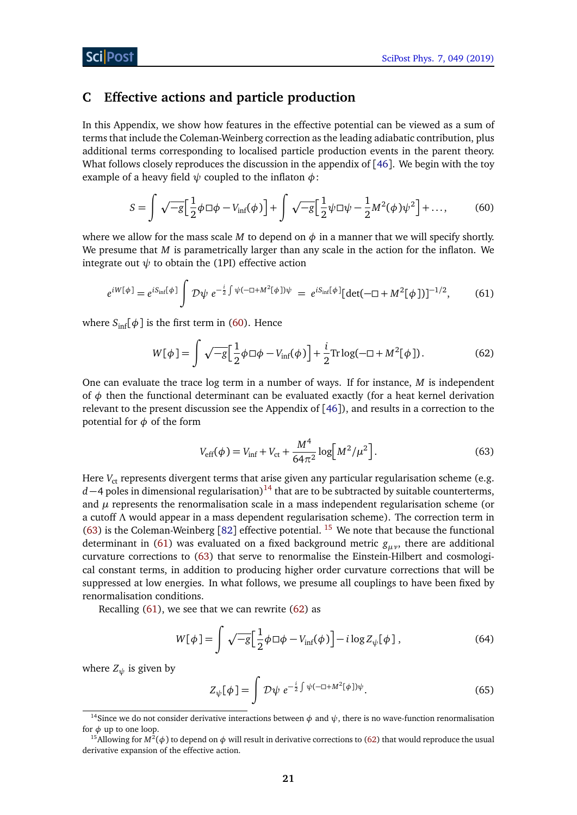### <span id="page-20-0"></span>**C Effective actions and particle production**

In this Appendix, we show how features in the effective potential can be viewed as a sum of terms that include the Coleman-Weinberg correction as the leading adiabatic contribution, plus additional terms corresponding to localised particle production events in the parent theory. What follows closely reproduces the discussion in the appendix of [[46](#page-28-12)]. We begin with the toy example of a heavy field *ψ* coupled to the inflaton *φ*:

<span id="page-20-2"></span>
$$
S = \int \sqrt{-g} \Big[ \frac{1}{2} \phi \Box \phi - V_{\text{inf}}(\phi) \Big] + \int \sqrt{-g} \Big[ \frac{1}{2} \psi \Box \psi - \frac{1}{2} M^2(\phi) \psi^2 \Big] + \dots,
$$
 (60)

where we allow for the mass scale *M* to depend on  $\phi$  in a manner that we will specify shortly. We presume that *M* is parametrically larger than any scale in the action for the inflaton. We integrate out  $\psi$  to obtain the (1PI) effective action

$$
e^{iW[\phi]} = e^{iS_{\inf}[\phi]} \int \mathcal{D}\psi \ e^{-\frac{i}{2}\int \psi(-\Box + M^2[\phi])\psi} = e^{iS_{\inf}[\phi]} [\det(-\Box + M^2[\phi]])^{-1/2},\tag{61}
$$

where  $S_{\text{inf}}[\phi]$  is the first term in [\(60\)](#page-20-2). Hence

<span id="page-20-6"></span><span id="page-20-5"></span>
$$
W[\phi] = \int \sqrt{-g} \Big[ \frac{1}{2} \phi \Box \phi - V_{\text{inf}}(\phi) \Big] + \frac{i}{2} \text{Tr} \log(-\Box + M^2[\phi]). \tag{62}
$$

One can evaluate the trace log term in a number of ways. If for instance, *M* is independent of  $\phi$  then the functional determinant can be evaluated exactly (for a heat kernel derivation relevant to the present discussion see the Appendix of [[46](#page-28-12)]), and results in a correction to the potential for *φ* of the form

<span id="page-20-1"></span>
$$
V_{\rm eff}(\phi) = V_{\rm inf} + V_{\rm ct} + \frac{M^4}{64\pi^2} \log \left[ M^2 / \mu^2 \right].
$$
 (63)

Here *V<sub>ct</sub>* represents divergent terms that arise given any particular regularisation scheme (e.g.  $d-4$  poles in dimensional regularisation)<sup>[14](#page-20-3)</sup> that are to be subtracted by suitable counterterms, and  $\mu$  represents the renormalisation scale in a mass independent regularisation scheme (or a cutoff *Λ* would appear in a mass dependent regularisation scheme). The correction term in [\(63\)](#page-20-1) is the Coleman-Weinberg [[82](#page-31-2)] effective potential. <sup>[15](#page-20-4)</sup> We note that because the functional determinant in [\(61\)](#page-20-5) was evaluated on a fixed background metric *gµν*, there are additional curvature corrections to [\(63\)](#page-20-1) that serve to renormalise the Einstein-Hilbert and cosmological constant terms, in addition to producing higher order curvature corrections that will be suppressed at low energies. In what follows, we presume all couplings to have been fixed by renormalisation conditions.

Recalling  $(61)$ , we see that we can rewrite  $(62)$  as

$$
W[\phi] = \int \sqrt{-g} \Big[ \frac{1}{2} \phi \Box \phi - V_{\inf}(\phi) \Big] - i \log Z_{\psi}[\phi] \,, \tag{64}
$$

where  $Z_{\psi}$  is given by

$$
Z_{\psi}[\phi] = \int \mathcal{D}\psi \; e^{-\frac{i}{2}\int \psi(-\Box + M^2[\phi])\psi}.
$$
 (65)

<span id="page-20-3"></span><sup>&</sup>lt;sup>14</sup>Since we do not consider derivative interactions between  $\phi$  and  $\psi$ , there is no wave-function renormalisation for  $\phi$  up to one loop.

<span id="page-20-4"></span><sup>&</sup>lt;sup>15</sup> Allowing for  $M^2(\phi)$  to depend on  $\phi$  will result in derivative corrections to [\(62\)](#page-20-6) that would reproduce the usual derivative expansion of the effective action.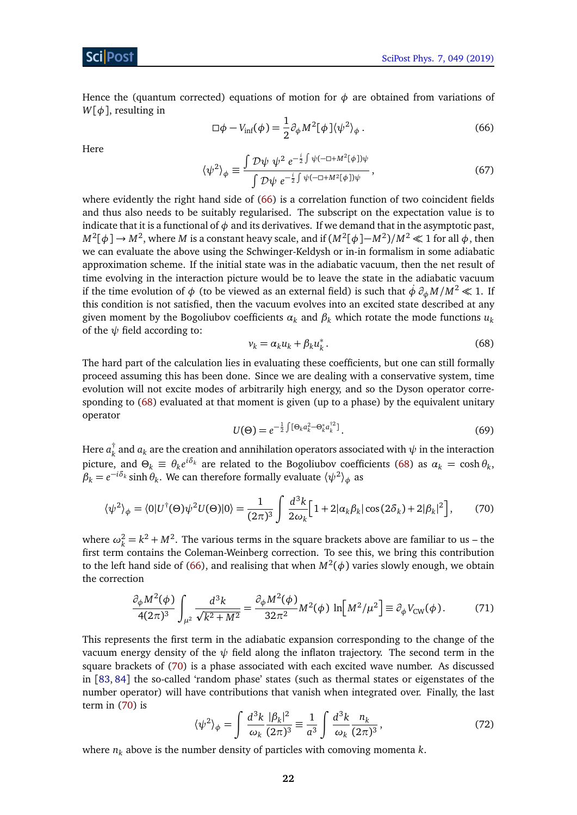Hence the (quantum corrected) equations of motion for  $\phi$  are obtained from variations of *W*[*φ*], resulting in

<span id="page-21-1"></span>
$$
\Box \phi - V_{\rm inf}(\phi) = \frac{1}{2} \partial_{\phi} M^2 [\phi] \langle \psi^2 \rangle_{\phi} . \tag{66}
$$

<span id="page-21-5"></span>Here

$$
\langle \psi^2 \rangle_{\phi} \equiv \frac{\int \mathcal{D}\psi \ \psi^2 \ e^{-\frac{i}{2} \int \psi (-\Box + M^2[\phi])\psi}}{\int \mathcal{D}\psi \ e^{-\frac{i}{2} \int \psi (-\Box + M^2[\phi])\psi}}, \tag{67}
$$

where evidently the right hand side of [\(66\)](#page-21-1) is a correlation function of two coincident fields and thus also needs to be suitably regularised. The subscript on the expectation value is to indicate that it is a functional of  $\phi$  and its derivatives. If we demand that in the asymptotic past, *M*<sup>2</sup> [*φ*] → *M*<sup>2</sup> , where *M* is a constant heavy scale, and if (*M*<sup>2</sup> [*φ*]−*M*<sup>2</sup> )*/M*<sup>2</sup> 1 for all *φ*, then we can evaluate the above using the Schwinger-Keldysh or in-in formalism in some adiabatic approximation scheme. If the initial state was in the adiabatic vacuum, then the net result of time evolving in the interaction picture would be to leave the state in the adiabatic vacuum if the time evolution of  $\phi$  (to be viewed as an external field) is such that  $\dot{\phi} \; \partial_\phi M / M^2 \ll 1$ . If this condition is not satisfied, then the vacuum evolves into an excited state described at any given moment by the Bogoliubov coefficients  $\alpha_k$  and  $\beta_k$  which rotate the mode functions  $u_k$ of the  $\psi$  field according to:

<span id="page-21-2"></span>
$$
v_k = \alpha_k u_k + \beta_k u_k^* \,. \tag{68}
$$

The hard part of the calculation lies in evaluating these coefficients, but one can still formally proceed assuming this has been done. Since we are dealing with a conservative system, time evolution will not excite modes of arbitrarily high energy, and so the Dyson operator corresponding to [\(68\)](#page-21-2) evaluated at that moment is given (up to a phase) by the equivalent unitary operator

<span id="page-21-3"></span>
$$
U(\Theta) = e^{-\frac{1}{2}\int [\Theta_k a_k^2 - \Theta_k^* a_k^{\dagger 2}]}.
$$
\n(69)

Here *a* †  $\frac{1}{k}$  and  $a_k$  are the creation and annihilation operators associated with  $\psi$  in the interaction picture, and  $\Theta_k \equiv \theta_k e^{i\delta_k}$  are related to the Bogoliubov coefficients [\(68\)](#page-21-2) as  $\alpha_k = \cosh \theta_k$ ,  $\beta_k = e^{-i\delta_k} \sinh \theta_k$ . We can therefore formally evaluate  $\langle \psi^2 \rangle_{\phi}$  as

$$
\langle \psi^2 \rangle_{\phi} = \langle 0 | U^{\dagger}(\Theta) \psi^2 U(\Theta) | 0 \rangle = \frac{1}{(2\pi)^3} \int \frac{d^3k}{2\omega_k} \Big[ 1 + 2|\alpha_k \beta_k| \cos(2\delta_k) + 2|\beta_k|^2 \Big], \tag{70}
$$

where  $\omega_k^2 = k^2 + M^2$ . The various terms in the square brackets above are familiar to us – the first term contains the Coleman-Weinberg correction. To see this, we bring this contribution to the left hand side of [\(66\)](#page-21-1), and realising that when  $M^2(\phi)$  varies slowly enough, we obtain the correction

<span id="page-21-0"></span>
$$
\frac{\partial_{\phi} M^2(\phi)}{4(2\pi)^3} \int_{\mu^2} \frac{d^3k}{\sqrt{k^2 + M^2}} = \frac{\partial_{\phi} M^2(\phi)}{32\pi^2} M^2(\phi) \ln\left[M^2/\mu^2\right] \equiv \partial_{\phi} V_{\text{CW}}(\phi). \tag{71}
$$

This represents the first term in the adiabatic expansion corresponding to the change of the vacuum energy density of the  $\psi$  field along the inflaton trajectory. The second term in the square brackets of [\(70\)](#page-21-3) is a phase associated with each excited wave number. As discussed in [[83,](#page-31-3) [84](#page-31-4)] the so-called 'random phase' states (such as thermal states or eigenstates of the number operator) will have contributions that vanish when integrated over. Finally, the last term in [\(70\)](#page-21-3) is

<span id="page-21-4"></span>
$$
\langle \psi^2 \rangle_{\phi} = \int \frac{d^3k}{\omega_k} \frac{|\beta_k|^2}{(2\pi)^3} \equiv \frac{1}{a^3} \int \frac{d^3k}{\omega_k} \frac{n_k}{(2\pi)^3},\tag{72}
$$

where  $n_k$  above is the number density of particles with comoving momenta  $k$ .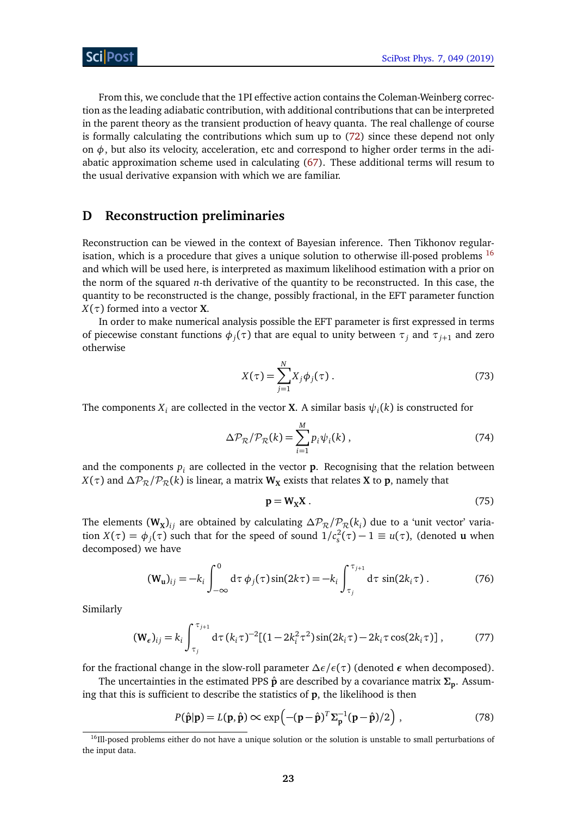From this, we conclude that the 1PI effective action contains the Coleman-Weinberg correction as the leading adiabatic contribution, with additional contributions that can be interpreted in the parent theory as the transient production of heavy quanta. The real challenge of course is formally calculating the contributions which sum up to [\(72\)](#page-21-4) since these depend not only on  $\phi$ , but also its velocity, acceleration, etc and correspond to higher order terms in the adiabatic approximation scheme used in calculating [\(67\)](#page-21-5). These additional terms will resum to the usual derivative expansion with which we are familiar.

#### <span id="page-22-0"></span>**D Reconstruction preliminaries**

Reconstruction can be viewed in the context of Bayesian inference. Then Tikhonov regular-isation, which is a procedure that gives a unique solution to otherwise ill-posed problems <sup>[16](#page-22-1)</sup> and which will be used here, is interpreted as maximum likelihood estimation with a prior on the norm of the squared *n*-th derivative of the quantity to be reconstructed. In this case, the quantity to be reconstructed is the change, possibly fractional, in the EFT parameter function  $X(\tau)$  formed into a vector **X**.

In order to make numerical analysis possible the EFT parameter is first expressed in terms of piecewise constant functions  $\phi_j(\tau)$  that are equal to unity between  $\tau_j$  and  $\tau_{j+1}$  and zero otherwise

$$
X(\tau) = \sum_{j=1}^{N} X_j \phi_j(\tau).
$$
 (73)

The components  $X_i$  are collected in the vector **X**. A similar basis  $\psi_i(k)$  is constructed for

$$
\Delta \mathcal{P}_{\mathcal{R}}/\mathcal{P}_{\mathcal{R}}(k) = \sum_{i=1}^{M} p_i \psi_i(k) , \qquad (74)
$$

and the components  $p_i$  are collected in the vector  $p$ . Recognising that the relation between *X*( $\tau$ ) and  $\Delta P_R / P_R(k)$  is linear, a matrix **W**<sub>X</sub> exists that relates **X** to **p**, namely that

<span id="page-22-2"></span>
$$
p = W_X X. \tag{75}
$$

The elements  $(W_X)_{ij}$  are obtained by calculating  $\Delta \mathcal{P}_\mathcal{R}/\mathcal{P}_\mathcal{R}(k_i)$  due to a 'unit vector' variation  $X(\tau) = \phi_j(\tau)$  such that for the speed of sound  $1/c_s^2(\tau) - 1 \equiv u(\tau)$ , (denoted **u** when decomposed) we have

$$
(\mathbf{W}_{\mathbf{u}})_{ij} = -k_i \int_{-\infty}^{0} d\tau \, \phi_j(\tau) \sin(2k\tau) = -k_i \int_{\tau_j}^{\tau_{j+1}} d\tau \, \sin(2k_i\tau) \,. \tag{76}
$$

Similarly

$$
(\mathbf{W}_{\epsilon})_{ij} = k_i \int_{\tau_j}^{\tau_{j+1}} d\tau (k_i \tau)^{-2} [(1 - 2k_i^2 \tau^2) \sin(2k_i \tau) - 2k_i \tau \cos(2k_i \tau)], \qquad (77)
$$

for the fractional change in the slow-roll parameter *∆ε/ε*(*τ*) (denoted *ε* when decomposed).

The uncertainties in the estimated PPS **p**ˆ are described by a covariance matrix **Σ<sup>p</sup>** . Assuming that this is sufficient to describe the statistics of **p**, the likelihood is then

$$
P(\hat{\mathbf{p}}|\mathbf{p}) = L(\mathbf{p}, \hat{\mathbf{p}}) \propto \exp\left(-(\mathbf{p} - \hat{\mathbf{p}})^T \Sigma_{\mathbf{p}}^{-1} (\mathbf{p} - \hat{\mathbf{p}})/2\right) ,\qquad(78)
$$

<span id="page-22-1"></span><sup>&</sup>lt;sup>16</sup>Ill-posed problems either do not have a unique solution or the solution is unstable to small perturbations of the input data.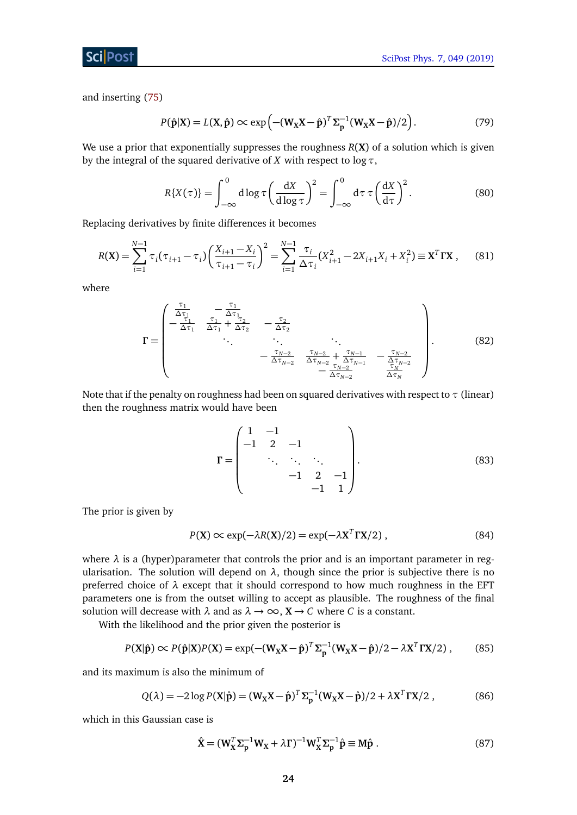and inserting [\(75\)](#page-22-2)

$$
P(\hat{\mathbf{p}}|\mathbf{X}) = L(\mathbf{X}, \hat{\mathbf{p}}) \propto \exp\left(-(\mathbf{W}_{\mathbf{X}}\mathbf{X} - \hat{\mathbf{p}})^T \Sigma_{\mathbf{p}}^{-1} (\mathbf{W}_{\mathbf{X}}\mathbf{X} - \hat{\mathbf{p}})/2\right).
$$
 (79)

We use a prior that exponentially suppresses the roughness *R*(**X**) of a solution which is given by the integral of the squared derivative of *X* with respect to log*τ*,

$$
R\{X(\tau)\} = \int_{-\infty}^{0} d\log \tau \left(\frac{dX}{d\log \tau}\right)^{2} = \int_{-\infty}^{0} d\tau \tau \left(\frac{dX}{d\tau}\right)^{2}.
$$
 (80)

Replacing derivatives by finite differences it becomes

$$
R(\mathbf{X}) = \sum_{i=1}^{N-1} \tau_i (\tau_{i+1} - \tau_i) \left( \frac{X_{i+1} - X_i}{\tau_{i+1} - \tau_i} \right)^2 = \sum_{i=1}^{N-1} \frac{\tau_i}{\Delta \tau_i} (X_{i+1}^2 - 2X_{i+1}X_i + X_i^2) \equiv \mathbf{X}^T \mathbf{\Gamma} \mathbf{X} \,, \tag{81}
$$

where

$$
\mathbf{\Gamma} = \begin{pmatrix} \frac{\tau_1}{\Delta \tau_1} & -\frac{\tau_1}{\Delta \tau_1} & -\frac{\tau_2}{\Delta \tau_2} \\ -\frac{\tau_1}{\Delta \tau_1} & \frac{\tau_1}{\Delta \tau_1} + \frac{\tau_2}{\Delta \tau_2} & -\frac{\tau_2}{\Delta \tau_2} \\ \vdots & \vdots & \ddots & \vdots \\ -\frac{\tau_{N-2}}{\Delta \tau_{N-2}} & \frac{\tau_{N-2}}{\Delta \tau_{N-2}} + \frac{\tau_{N-1}}{\Delta \tau_{N-1}} & -\frac{\tau_{N-2}}{\Delta \tau_{N-2}} \\ -\frac{\tau_{N-2}}{\Delta \tau_{N-2}} & \frac{\tau_{N-2}}{\Delta \tau_{N}} & \end{pmatrix} . \tag{82}
$$

Note that if the penalty on roughness had been on squared derivatives with respect to *τ* (linear) then the roughness matrix would have been

$$
\mathbf{\Gamma} = \begin{pmatrix} 1 & -1 & & & \\ -1 & 2 & -1 & & \\ & \ddots & \ddots & \ddots & \\ & & -1 & 2 & -1 \\ & & & -1 & 1 \end{pmatrix} . \tag{83}
$$

The prior is given by

$$
P(X) \propto \exp(-\lambda R(X)/2) = \exp(-\lambda X^T \Gamma X/2) , \qquad (84)
$$

where  $\lambda$  is a (hyper)parameter that controls the prior and is an important parameter in regularisation. The solution will depend on  $\lambda$ , though since the prior is subjective there is no preferred choice of *λ* except that it should correspond to how much roughness in the EFT parameters one is from the outset willing to accept as plausible. The roughness of the final solution will decrease with  $\lambda$  and as  $\lambda \to \infty$ ,  $X \to C$  where *C* is a constant.

With the likelihood and the prior given the posterior is

$$
P(X|\hat{\mathbf{p}}) \propto P(\hat{\mathbf{p}}|X)P(X) = \exp(-(W_X X - \hat{\mathbf{p}})^T \Sigma_{\mathbf{p}}^{-1} (W_X X - \hat{\mathbf{p}})/2 - \lambda X^T \Gamma X/2), \quad (85)
$$

and its maximum is also the minimum of

$$
Q(\lambda) = -2\log P(\mathbf{X}|\hat{\mathbf{p}}) = (\mathbf{W}_{\mathbf{X}}\mathbf{X} - \hat{\mathbf{p}})^T \Sigma_{\mathbf{p}}^{-1} (\mathbf{W}_{\mathbf{X}}\mathbf{X} - \hat{\mathbf{p}})/2 + \lambda \mathbf{X}^T \Gamma \mathbf{X}/2 ,
$$
 (86)

which in this Gaussian case is

<span id="page-23-2"></span><span id="page-23-1"></span><span id="page-23-0"></span>
$$
\hat{\mathbf{X}} = (\mathbf{W}_{\mathbf{X}}^T \Sigma_{\mathbf{p}}^{-1} \mathbf{W}_{\mathbf{X}} + \lambda \mathbf{\Gamma})^{-1} \mathbf{W}_{\mathbf{X}}^T \Sigma_{\mathbf{p}}^{-1} \hat{\mathbf{p}} \equiv \mathbf{M} \hat{\mathbf{p}} \ . \tag{87}
$$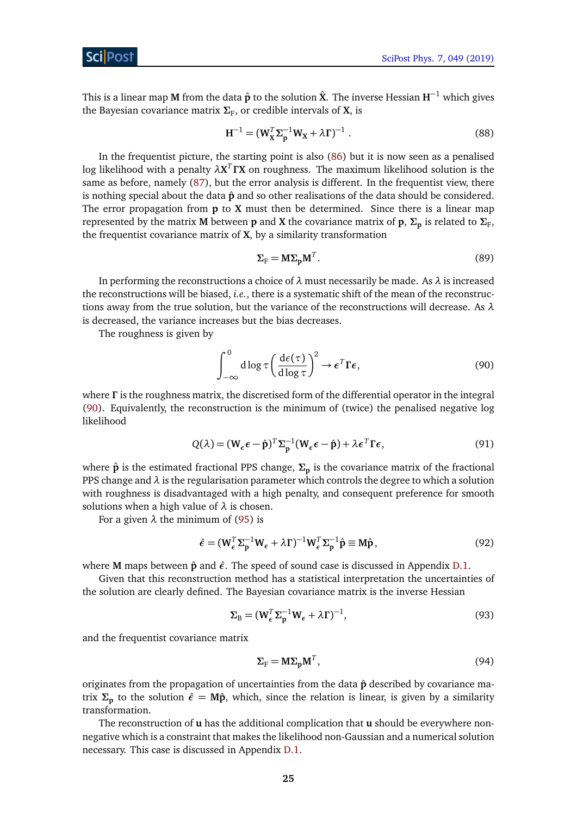This is a linear map **M** from the data **p**ˆ to the solution **X**ˆ. The inverse Hessian **H** <sup>−</sup><sup>1</sup> which gives the Bayesian covariance matrix  $\Sigma_{\rm F}$ , or credible intervals of **X**, is

$$
H^{-1} = (W_X^T \Sigma_p^{-1} W_X + \lambda \Gamma)^{-1} .
$$
 (88)

In the frequentist picture, the starting point is also [\(86\)](#page-23-0) but it is now seen as a penalised log likelihood with a penalty  $\lambda \mathbf{X}^T \boldsymbol{\Gamma} \mathbf{X}$  on roughness. The maximum likelihood solution is the same as before, namely [\(87\)](#page-23-1), but the error analysis is different. In the frequentist view, there is nothing special about the data  $\hat{p}$  and so other realisations of the data should be considered. The error propagation from **p** to **X** must then be determined. Since there is a linear map represented by the matrix **M** between  ${\bf p}$  and **X** the covariance matrix of  ${\bf p}$ ,  ${\bf \Sigma_p}$  is related to  ${\bf \Sigma_F}$ , the frequentist covariance matrix of **X**, by a similarity transformation

<span id="page-24-0"></span>
$$
\Sigma_{\rm F} = M \Sigma_{\rm p} M^T. \tag{89}
$$

In performing the reconstructions a choice of *λ* must necessarily be made. As *λ* is increased the reconstructions will be biased, *i.e.*, there is a systematic shift of the mean of the reconstructions away from the true solution, but the variance of the reconstructions will decrease. As *λ* is decreased, the variance increases but the bias decreases.

The roughness is given by

$$
\int_{-\infty}^{0} d\log \tau \left(\frac{d\epsilon(\tau)}{d\log \tau}\right)^{2} \to \epsilon^{T} \Gamma \epsilon,
$$
\n(90)

where *Γ* is the roughness matrix, the discretised form of the differential operator in the integral [\(90\)](#page-24-0). Equivalently, the reconstruction is the minimum of (twice) the penalised negative log likelihood

$$
Q(\lambda) = (\mathbf{W}_{\epsilon} \epsilon - \hat{\mathbf{p}})^{T} \Sigma_{\mathbf{p}}^{-1} (\mathbf{W}_{\epsilon} \epsilon - \hat{\mathbf{p}}) + \lambda \epsilon^{T} \Gamma \epsilon,
$$
\n(91)

where **p**ˆ is the estimated fractional PPS change, **Σ<sup>p</sup>** is the covariance matrix of the fractional PPS change and *λ* is the regularisation parameter which controls the degree to which a solution with roughness is disadvantaged with a high penalty, and consequent preference for smooth solutions when a high value of *λ* is chosen.

For a given  $\lambda$  the minimum of [\(95\)](#page-25-5) is

$$
\hat{\epsilon} = (\mathbf{W}_{\epsilon}^T \Sigma_{\mathbf{p}}^{-1} \mathbf{W}_{\epsilon} + \lambda \mathbf{\Gamma})^{-1} \mathbf{W}_{\epsilon}^T \Sigma_{\mathbf{p}}^{-1} \hat{\mathbf{p}} \equiv \mathbf{M} \hat{\mathbf{p}},
$$
\n(92)

where **M** maps between **p**ˆ and *ε*ˆ. The speed of sound case is discussed in Appendix [D.1.](#page-25-0)

Given that this reconstruction method has a statistical interpretation the uncertainties of the solution are clearly defined. The Bayesian covariance matrix is the inverse Hessian

$$
\Sigma_{\rm B} = (\mathbf{W}_{\epsilon}^T \Sigma_{\rm p}^{-1} \mathbf{W}_{\epsilon} + \lambda \mathbf{\Gamma})^{-1},\tag{93}
$$

and the frequentist covariance matrix

$$
\Sigma_{\rm F} = M \Sigma_{\rm p} M^T, \tag{94}
$$

originates from the propagation of uncertainties from the data  $\hat{p}$  described by covariance matrix  $\Sigma$ <sub>p</sub> to the solution  $\hat{\epsilon} = M\hat{p}$ , which, since the relation is linear, is given by a similarity transformation.

The reconstruction of **u** has the additional complication that **u** should be everywhere nonnegative which is a constraint that makes the likelihood non-Gaussian and a numerical solution necessary. This case is discussed in Appendix [D.1.](#page-25-0)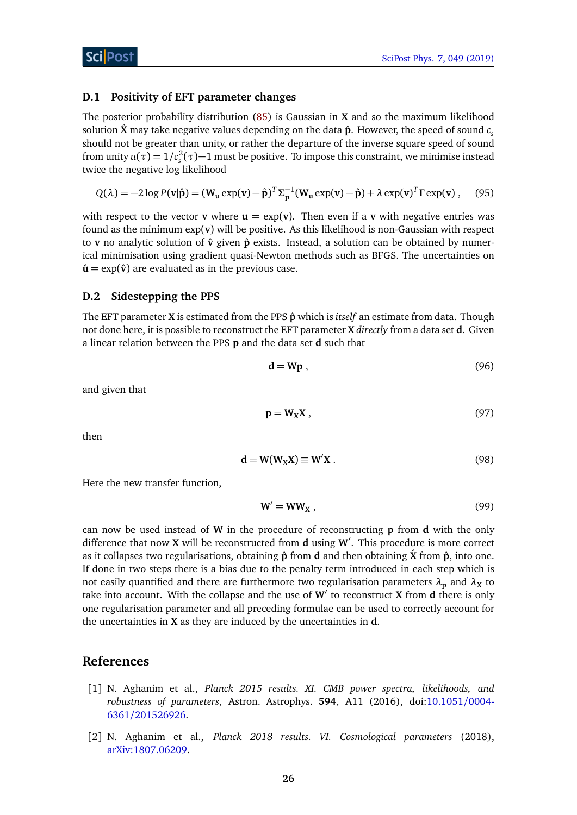#### <span id="page-25-0"></span>**D.1 Positivity of EFT parameter changes**

The posterior probability distribution [\(85\)](#page-23-2) is Gaussian in **X** and so the maximum likelihood solution **X**<sup> $\dot{\textbf{x}}$  may take negative values depending on the data  $\hat{\textbf{p}}$ . However, the speed of sound  $c_{s}$ </sup> should not be greater than unity, or rather the departure of the inverse square speed of sound from unity  $u(\tau) = 1/c_s^2(\tau) - 1$  must be positive. To impose this constraint, we minimise instead twice the negative log likelihood

$$
Q(\lambda) = -2\log P(\mathbf{v}|\hat{\mathbf{p}}) = (\mathbf{W}_{\mathbf{u}} \exp(\mathbf{v}) - \hat{\mathbf{p}})^T \Sigma_{\mathbf{p}}^{-1} (\mathbf{W}_{\mathbf{u}} \exp(\mathbf{v}) - \hat{\mathbf{p}}) + \lambda \exp(\mathbf{v})^T \Gamma \exp(\mathbf{v}) ,\qquad(95)
$$

with respect to the vector **v** where  $\mathbf{u} = \exp(\mathbf{v})$ . Then even if a **v** with negative entries was found as the minimum exp(**v**) will be positive. As this likelihood is non-Gaussian with respect to **v** no analytic solution of  $\hat{v}$  given  $\hat{p}$  exists. Instead, a solution can be obtained by numerical minimisation using gradient quasi-Newton methods such as BFGS. The uncertainties on  $\hat{\mathbf{u}} = \exp(\hat{\mathbf{v}})$  are evaluated as in the previous case.

#### <span id="page-25-1"></span>**D.2 Sidestepping the PPS**

The EFT parameter **X** is estimated from the PPS  $\hat{p}$  which is *itself* an estimate from data. Though not done here, it is possible to reconstruct the EFT parameter **X** *directly* from a data set **d**. Given a linear relation between the PPS **p** and the data set **d** such that

<span id="page-25-5"></span>
$$
\mathbf{d} = \mathbf{W}\mathbf{p} \,, \tag{96}
$$

and given that

$$
p = W_X X, \tag{97}
$$

then

$$
\mathbf{d} = \mathbf{W}(\mathbf{W}_{\mathbf{X}} \mathbf{X}) \equiv \mathbf{W}' \mathbf{X} . \tag{98}
$$

Here the new transfer function,

<span id="page-25-2"></span>
$$
W' = WW_X , \qquad (99)
$$

can now be used instead of **W** in the procedure of reconstructing **p** from **d** with the only difference that now **X** will be reconstructed from **d** using **W**<sup>'</sup>. This procedure is more correct as it collapses two regularisations, obtaining  $\hat{p}$  from **d** and then obtaining  $\hat{X}$  from  $\hat{p}$ , into one. If done in two steps there is a bias due to the penalty term introduced in each step which is not easily quantified and there are furthermore two regularisation parameters  $\lambda_p$  and  $\lambda_x$  to take into account. With the collapse and the use of  $W'$  to reconstruct **X** from **d** there is only one regularisation parameter and all preceding formulae can be used to correctly account for the uncertainties in **X** as they are induced by the uncertainties in **d**.

### **References**

- <span id="page-25-3"></span>[1] N. Aghanim et al., *Planck 2015 results. XI. CMB power spectra, likelihoods, and robustness of parameters*, Astron. Astrophys. **594**, A11 (2016), doi[:10.1051](http://dx.doi.org/10.1051/0004-6361/201526926)/0004- 6361/[201526926.](http://dx.doi.org/10.1051/0004-6361/201526926)
- <span id="page-25-4"></span>[2] N. Aghanim et al., *Planck 2018 results. VI. Cosmological parameters* (2018), [arXiv:1807.06209.](https://arxiv.org/abs/1807.06209)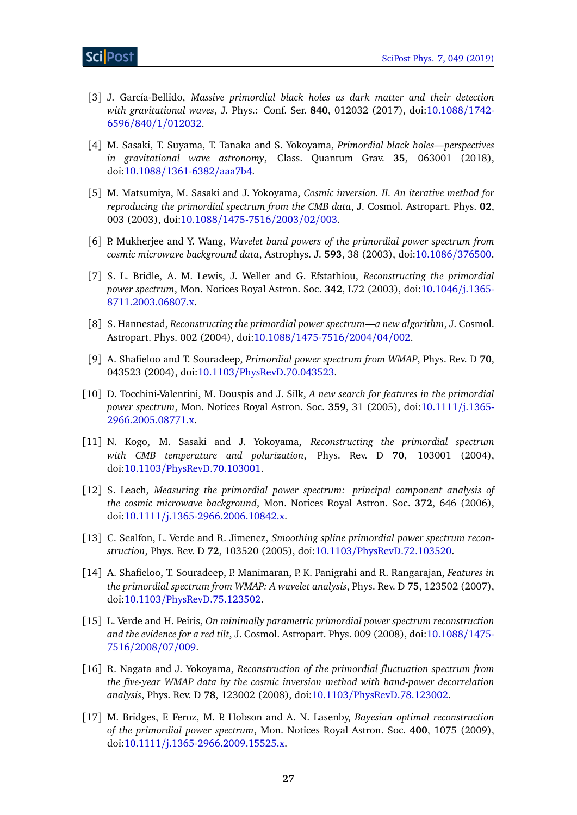- <span id="page-26-1"></span>[3] J. García-Bellido, *Massive primordial black holes as dark matter and their detection with gravitational waves*, J. Phys.: Conf. Ser. **840**, 012032 (2017), doi[:10.1088](http://dx.doi.org/10.1088/1742-6596/840/1/012032)/1742- 6596/840/1/[012032.](http://dx.doi.org/10.1088/1742-6596/840/1/012032)
- <span id="page-26-2"></span>[4] M. Sasaki, T. Suyama, T. Tanaka and S. Yokoyama, *Primordial black holes—perspectives in gravitational wave astronomy*, Class. Quantum Grav. **35**, 063001 (2018), doi:10.1088/[1361-6382](http://dx.doi.org/10.1088/1361-6382/aaa7b4)/aaa7b4.
- <span id="page-26-0"></span>[5] M. Matsumiya, M. Sasaki and J. Yokoyama, *Cosmic inversion. II. An iterative method for reproducing the primordial spectrum from the CMB data*, J. Cosmol. Astropart. Phys. **02**, 003 (2003), doi:10.1088/[1475-7516](http://dx.doi.org/10.1088/1475-7516/2003/02/003)/2003/02/003.
- [6] P. Mukherjee and Y. Wang, *Wavelet band powers of the primordial power spectrum from cosmic microwave background data*, Astrophys. J. **593**, 38 (2003), doi[:10.1086](http://dx.doi.org/10.1086/376500)/376500.
- [7] S. L. Bridle, A. M. Lewis, J. Weller and G. Efstathiou, *Reconstructing the primordial power spectrum*, Mon. Notices Royal Astron. Soc. **342**, L72 (2003), doi[:10.1046](http://dx.doi.org/10.1046/j.1365-8711.2003.06807.x)/j.1365- [8711.2003.06807.x.](http://dx.doi.org/10.1046/j.1365-8711.2003.06807.x)
- [8] S. Hannestad, *Reconstructing the primordial power spectrum—a new algorithm*, J. Cosmol. Astropart. Phys. 002 (2004), doi:10.1088/[1475-7516](http://dx.doi.org/10.1088/1475-7516/2004/04/002)/2004/04/002.
- [9] A. Shafieloo and T. Souradeep, *Primordial power spectrum from WMAP*, Phys. Rev. D **70**, 043523 (2004), doi:10.1103/[PhysRevD.70.043523.](http://dx.doi.org/10.1103/PhysRevD.70.043523)
- [10] D. Tocchini-Valentini, M. Douspis and J. Silk, *A new search for features in the primordial power spectrum*, Mon. Notices Royal Astron. Soc. **359**, 31 (2005), doi[:10.1111](http://dx.doi.org/10.1111/j.1365-2966.2005.08771.x)/j.1365- [2966.2005.08771.x.](http://dx.doi.org/10.1111/j.1365-2966.2005.08771.x)
- [11] N. Kogo, M. Sasaki and J. Yokoyama, *Reconstructing the primordial spectrum with CMB temperature and polarization*, Phys. Rev. D **70**, 103001 (2004), doi:10.1103/[PhysRevD.70.103001.](http://dx.doi.org/10.1103/PhysRevD.70.103001)
- [12] S. Leach, *Measuring the primordial power spectrum: principal component analysis of the cosmic microwave background*, Mon. Notices Royal Astron. Soc. **372**, 646 (2006), doi:10.1111/[j.1365-2966.2006.10842.x.](http://dx.doi.org/10.1111/j.1365-2966.2006.10842.x)
- [13] C. Sealfon, L. Verde and R. Jimenez, *Smoothing spline primordial power spectrum reconstruction*, Phys. Rev. D **72**, 103520 (2005), doi:10.1103/[PhysRevD.72.103520.](http://dx.doi.org/10.1103/PhysRevD.72.103520)
- [14] A. Shafieloo, T. Souradeep, P. Manimaran, P. K. Panigrahi and R. Rangarajan, *Features in the primordial spectrum from WMAP: A wavelet analysis*, Phys. Rev. D **75**, 123502 (2007), doi:10.1103/[PhysRevD.75.123502.](http://dx.doi.org/10.1103/PhysRevD.75.123502)
- [15] L. Verde and H. Peiris, *On minimally parametric primordial power spectrum reconstruction and the evidence for a red tilt*, J. Cosmol. Astropart. Phys. 009 (2008), doi[:10.1088](http://dx.doi.org/10.1088/1475-7516/2008/07/009)/1475- [7516](http://dx.doi.org/10.1088/1475-7516/2008/07/009)/2008/07/009.
- [16] R. Nagata and J. Yokoyama, *Reconstruction of the primordial fluctuation spectrum from the five-year WMAP data by the cosmic inversion method with band-power decorrelation analysis*, Phys. Rev. D **78**, 123002 (2008), doi:10.1103/[PhysRevD.78.123002.](http://dx.doi.org/10.1103/PhysRevD.78.123002)
- [17] M. Bridges, F. Feroz, M. P. Hobson and A. N. Lasenby, *Bayesian optimal reconstruction of the primordial power spectrum*, Mon. Notices Royal Astron. Soc. **400**, 1075 (2009), doi:10.1111/[j.1365-2966.2009.15525.x.](http://dx.doi.org/10.1111/j.1365-2966.2009.15525.x)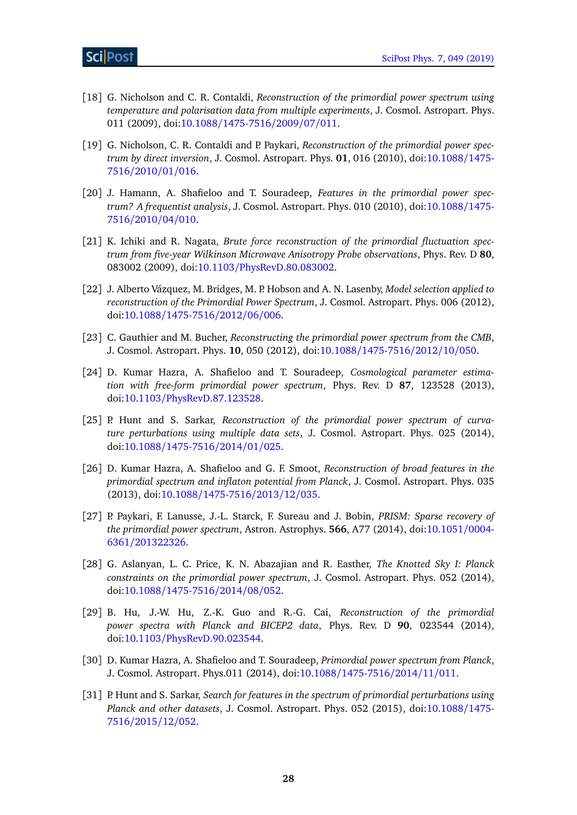- [18] G. Nicholson and C. R. Contaldi, *Reconstruction of the primordial power spectrum using temperature and polarisation data from multiple experiments*, J. Cosmol. Astropart. Phys. 011 (2009), doi:10.1088/[1475-7516](http://dx.doi.org/10.1088/1475-7516/2009/07/011)/2009/07/011.
- [19] G. Nicholson, C. R. Contaldi and P. Paykari, *Reconstruction of the primordial power spectrum by direct inversion*, J. Cosmol. Astropart. Phys. **01**, 016 (2010), doi[:10.1088](http://dx.doi.org/10.1088/1475-7516/2010/01/016)/1475- [7516](http://dx.doi.org/10.1088/1475-7516/2010/01/016)/2010/01/016.
- [20] J. Hamann, A. Shafieloo and T. Souradeep, *Features in the primordial power spectrum? A frequentist analysis*, J. Cosmol. Astropart. Phys. 010 (2010), doi[:10.1088](http://dx.doi.org/10.1088/1475-7516/2010/04/010)/1475- [7516](http://dx.doi.org/10.1088/1475-7516/2010/04/010)/2010/04/010.
- [21] K. Ichiki and R. Nagata, *Brute force reconstruction of the primordial fluctuation spectrum from five-year Wilkinson Microwave Anisotropy Probe observations*, Phys. Rev. D **80**, 083002 (2009), doi:10.1103/[PhysRevD.80.083002.](http://dx.doi.org/10.1103/PhysRevD.80.083002)
- [22] J. Alberto Vázquez, M. Bridges, M. P. Hobson and A. N. Lasenby, *Model selection applied to reconstruction of the Primordial Power Spectrum*, J. Cosmol. Astropart. Phys. 006 (2012), doi:10.1088/[1475-7516](http://dx.doi.org/10.1088/1475-7516/2012/06/006)/2012/06/006.
- [23] C. Gauthier and M. Bucher, *Reconstructing the primordial power spectrum from the CMB*, J. Cosmol. Astropart. Phys. **10**, 050 (2012), doi:10.1088/[1475-7516](http://dx.doi.org/10.1088/1475-7516/2012/10/050)/2012/10/050.
- [24] D. Kumar Hazra, A. Shafieloo and T. Souradeep, *Cosmological parameter estimation with free-form primordial power spectrum*, Phys. Rev. D **87**, 123528 (2013), doi:10.1103/[PhysRevD.87.123528.](http://dx.doi.org/10.1103/PhysRevD.87.123528)
- [25] P. Hunt and S. Sarkar, *Reconstruction of the primordial power spectrum of curvature perturbations using multiple data sets*, J. Cosmol. Astropart. Phys. 025 (2014), doi:10.1088/[1475-7516](http://dx.doi.org/10.1088/1475-7516/2014/01/025)/2014/01/025.
- [26] D. Kumar Hazra, A. Shafieloo and G. F. Smoot, *Reconstruction of broad features in the primordial spectrum and inflaton potential from Planck*, J. Cosmol. Astropart. Phys. 035 (2013), doi:10.1088/[1475-7516](http://dx.doi.org/10.1088/1475-7516/2013/12/035)/2013/12/035.
- [27] P. Paykari, F. Lanusse, J.-L. Starck, F. Sureau and J. Bobin, *PRISM: Sparse recovery of the primordial power spectrum*, Astron. Astrophys. **566**, A77 (2014), doi[:10.1051](http://dx.doi.org/10.1051/0004-6361/201322326)/0004- 6361/[201322326.](http://dx.doi.org/10.1051/0004-6361/201322326)
- [28] G. Aslanyan, L. C. Price, K. N. Abazajian and R. Easther, *The Knotted Sky I: Planck constraints on the primordial power spectrum*, J. Cosmol. Astropart. Phys. 052 (2014), doi:10.1088/[1475-7516](http://dx.doi.org/10.1088/1475-7516/2014/08/052)/2014/08/052.
- [29] B. Hu, J.-W. Hu, Z.-K. Guo and R.-G. Cai, *Reconstruction of the primordial power spectra with Planck and BICEP2 data*, Phys. Rev. D **90**, 023544 (2014), doi:10.1103/[PhysRevD.90.023544.](http://dx.doi.org/10.1103/PhysRevD.90.023544)
- [30] D. Kumar Hazra, A. Shafieloo and T. Souradeep, *Primordial power spectrum from Planck*, J. Cosmol. Astropart. Phys.011 (2014), doi:10.1088/[1475-7516](http://dx.doi.org/10.1088/1475-7516/2014/11/011)/2014/11/011.
- <span id="page-27-0"></span>[31] P. Hunt and S. Sarkar, *Search for features in the spectrum of primordial perturbations using Planck and other datasets*, J. Cosmol. Astropart. Phys. 052 (2015), doi[:10.1088](http://dx.doi.org/10.1088/1475-7516/2015/12/052)/1475- [7516](http://dx.doi.org/10.1088/1475-7516/2015/12/052)/2015/12/052.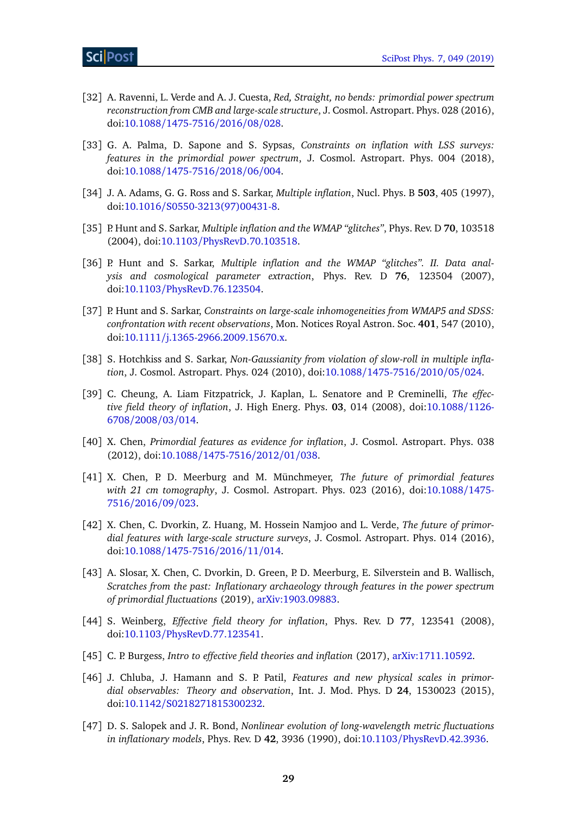- [32] A. Ravenni, L. Verde and A. J. Cuesta, *Red, Straight, no bends: primordial power spectrum reconstruction from CMB and large-scale structure*, J. Cosmol. Astropart. Phys. 028 (2016), doi:10.1088/[1475-7516](http://dx.doi.org/10.1088/1475-7516/2016/08/028)/2016/08/028.
- <span id="page-28-0"></span>[33] G. A. Palma, D. Sapone and S. Sypsas, *Constraints on inflation with LSS surveys: features in the primordial power spectrum*, J. Cosmol. Astropart. Phys. 004 (2018), doi:10.1088/[1475-7516](http://dx.doi.org/10.1088/1475-7516/2018/06/004)/2018/06/004.
- <span id="page-28-2"></span>[34] J. A. Adams, G. G. Ross and S. Sarkar, *Multiple inflation*, Nucl. Phys. B **503**, 405 (1997), doi:10.1016/[S0550-3213\(97\)00431-8.](http://dx.doi.org/10.1016/S0550-3213(97)00431-8)
- <span id="page-28-3"></span>[35] P. Hunt and S. Sarkar, *Multiple inflation and the WMAP "glitches"*, Phys. Rev. D **70**, 103518 (2004), doi:10.1103/[PhysRevD.70.103518.](http://dx.doi.org/10.1103/PhysRevD.70.103518)
- <span id="page-28-1"></span>[36] P. Hunt and S. Sarkar, *Multiple inflation and the WMAP "glitches"*. II. Data anal*ysis and cosmological parameter extraction*, Phys. Rev. D **76**, 123504 (2007), doi:10.1103/[PhysRevD.76.123504.](http://dx.doi.org/10.1103/PhysRevD.76.123504)
- <span id="page-28-4"></span>[37] P. Hunt and S. Sarkar, *Constraints on large-scale inhomogeneities from WMAP5 and SDSS: confrontation with recent observations*, Mon. Notices Royal Astron. Soc. **401**, 547 (2010), doi:10.1111/[j.1365-2966.2009.15670.x.](http://dx.doi.org/10.1111/j.1365-2966.2009.15670.x)
- <span id="page-28-5"></span>[38] S. Hotchkiss and S. Sarkar, *Non-Gaussianity from violation of slow-roll in multiple inflation*, J. Cosmol. Astropart. Phys. 024 (2010), doi:10.1088/[1475-7516](http://dx.doi.org/10.1088/1475-7516/2010/05/024)/2010/05/024.
- <span id="page-28-6"></span>[39] C. Cheung, A. Liam Fitzpatrick, J. Kaplan, L. Senatore and P. Creminelli, *The effective field theory of inflation*, J. High Energ. Phys. **03**, 014 (2008), doi[:10.1088](http://dx.doi.org/10.1088/1126-6708/2008/03/014)/1126- [6708](http://dx.doi.org/10.1088/1126-6708/2008/03/014)/2008/03/014.
- <span id="page-28-7"></span>[40] X. Chen, *Primordial features as evidence for inflation*, J. Cosmol. Astropart. Phys. 038 (2012), doi:10.1088/[1475-7516](http://dx.doi.org/10.1088/1475-7516/2012/01/038)/2012/01/038.
- [41] X. Chen, P. D. Meerburg and M. Münchmeyer, *The future of primordial features with 21 cm tomography*, J. Cosmol. Astropart. Phys. 023 (2016), doi[:10.1088](http://dx.doi.org/10.1088/1475-7516/2016/09/023)/1475- [7516](http://dx.doi.org/10.1088/1475-7516/2016/09/023)/2016/09/023.
- <span id="page-28-8"></span>[42] X. Chen, C. Dvorkin, Z. Huang, M. Hossein Namjoo and L. Verde, *The future of primordial features with large-scale structure surveys*, J. Cosmol. Astropart. Phys. 014 (2016), doi:10.1088/[1475-7516](http://dx.doi.org/10.1088/1475-7516/2016/11/014)/2016/11/014.
- <span id="page-28-9"></span>[43] A. Slosar, X. Chen, C. Dvorkin, D. Green, P. D. Meerburg, E. Silverstein and B. Wallisch, *Scratches from the past: Inflationary archaeology through features in the power spectrum of primordial fluctuations* (2019), [arXiv:1903.09883.](https://arxiv.org/abs/1903.09883)
- <span id="page-28-10"></span>[44] S. Weinberg, *Effective field theory for inflation*, Phys. Rev. D **77**, 123541 (2008), doi:10.1103/[PhysRevD.77.123541.](http://dx.doi.org/10.1103/PhysRevD.77.123541)
- <span id="page-28-11"></span>[45] C. P. Burgess, *Intro to effective field theories and inflation* (2017), [arXiv:1711.10592.](https://arxiv.org/abs/1711.10592)
- <span id="page-28-12"></span>[46] J. Chluba, J. Hamann and S. P. Patil, *Features and new physical scales in primordial observables: Theory and observation*, Int. J. Mod. Phys. D **24**, 1530023 (2015), doi:10.1142/[S0218271815300232.](http://dx.doi.org/10.1142/S0218271815300232)
- <span id="page-28-13"></span>[47] D. S. Salopek and J. R. Bond, *Nonlinear evolution of long-wavelength metric fluctuations in inflationary models*, Phys. Rev. D **42**, 3936 (1990), doi:10.1103/[PhysRevD.42.3936.](http://dx.doi.org/10.1103/PhysRevD.42.3936)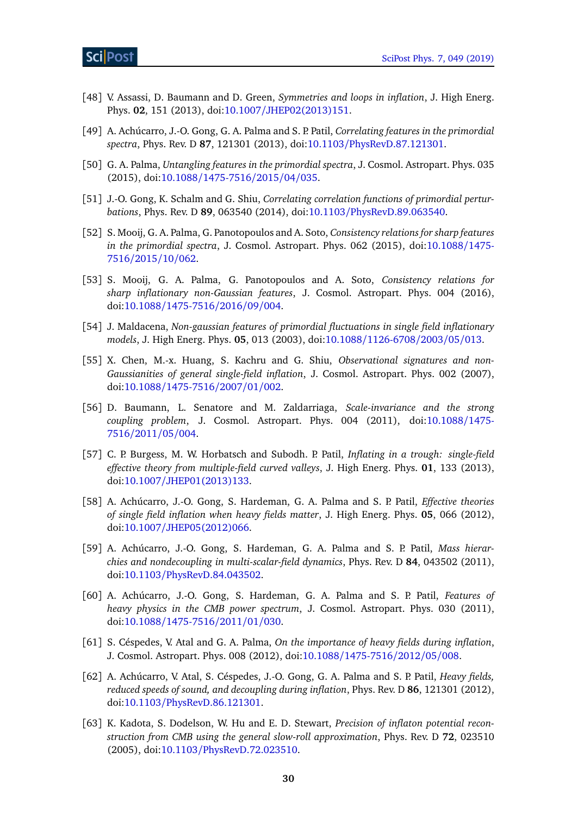- <span id="page-29-0"></span>[48] V. Assassi, D. Baumann and D. Green, *Symmetries and loops in inflation*, J. High Energ. Phys. **02**, 151 (2013), doi:10.1007/[JHEP02\(2013\)151.](http://dx.doi.org/10.1007/JHEP02(2013)151)
- <span id="page-29-1"></span>[49] A. Achúcarro, J.-O. Gong, G. A. Palma and S. P. Patil, *Correlating features in the primordial spectra*, Phys. Rev. D **87**, 121301 (2013), doi:10.1103/[PhysRevD.87.121301.](http://dx.doi.org/10.1103/PhysRevD.87.121301)
- <span id="page-29-2"></span>[50] G. A. Palma, *Untangling features in the primordial spectra*, J. Cosmol. Astropart. Phys. 035 (2015), doi:10.1088/[1475-7516](http://dx.doi.org/10.1088/1475-7516/2015/04/035)/2015/04/035.
- <span id="page-29-3"></span>[51] J.-O. Gong, K. Schalm and G. Shiu, *Correlating correlation functions of primordial perturbations*, Phys. Rev. D **89**, 063540 (2014), doi:10.1103/[PhysRevD.89.063540.](http://dx.doi.org/10.1103/PhysRevD.89.063540)
- <span id="page-29-4"></span>[52] S. Mooij, G. A. Palma, G. Panotopoulos and A. Soto, *Consistency relations for sharp features in the primordial spectra*, J. Cosmol. Astropart. Phys. 062 (2015), doi[:10.1088](http://dx.doi.org/10.1088/1475-7516/2015/10/062)/1475- [7516](http://dx.doi.org/10.1088/1475-7516/2015/10/062)/2015/10/062.
- <span id="page-29-5"></span>[53] S. Mooij, G. A. Palma, G. Panotopoulos and A. Soto, *Consistency relations for sharp inflationary non-Gaussian features*, J. Cosmol. Astropart. Phys. 004 (2016), doi:10.1088/[1475-7516](http://dx.doi.org/10.1088/1475-7516/2016/09/004)/2016/09/004.
- <span id="page-29-6"></span>[54] J. Maldacena, *Non-gaussian features of primordial fluctuations in single field inflationary models*, J. High Energ. Phys. **05**, 013 (2003), doi:10.1088/[1126-6708](http://dx.doi.org/10.1088/1126-6708/2003/05/013)/2003/05/013.
- <span id="page-29-7"></span>[55] X. Chen, M.-x. Huang, S. Kachru and G. Shiu, *Observational signatures and non-Gaussianities of general single-field inflation*, J. Cosmol. Astropart. Phys. 002 (2007), doi:10.1088/[1475-7516](http://dx.doi.org/10.1088/1475-7516/2007/01/002)/2007/01/002.
- <span id="page-29-8"></span>[56] D. Baumann, L. Senatore and M. Zaldarriaga, *Scale-invariance and the strong coupling problem*, J. Cosmol. Astropart. Phys. 004 (2011), doi[:10.1088](http://dx.doi.org/10.1088/1475-7516/2011/05/004)/1475- [7516](http://dx.doi.org/10.1088/1475-7516/2011/05/004)/2011/05/004.
- <span id="page-29-9"></span>[57] C. P. Burgess, M. W. Horbatsch and Subodh. P. Patil, *Inflating in a trough: single-field effective theory from multiple-field curved valleys*, J. High Energ. Phys. **01**, 133 (2013), doi:10.1007/[JHEP01\(2013\)133.](http://dx.doi.org/10.1007/JHEP01(2013)133)
- <span id="page-29-10"></span>[58] A. Achúcarro, J.-O. Gong, S. Hardeman, G. A. Palma and S. P. Patil, *Effective theories of single field inflation when heavy fields matter*, J. High Energ. Phys. **05**, 066 (2012), doi:10.1007/[JHEP05\(2012\)066.](http://dx.doi.org/10.1007/JHEP05(2012)066)
- <span id="page-29-11"></span>[59] A. Achúcarro, J.-O. Gong, S. Hardeman, G. A. Palma and S. P. Patil, *Mass hierarchies and nondecoupling in multi-scalar-field dynamics*, Phys. Rev. D **84**, 043502 (2011), doi:10.1103/[PhysRevD.84.043502.](http://dx.doi.org/10.1103/PhysRevD.84.043502)
- <span id="page-29-12"></span>[60] A. Achúcarro, J.-O. Gong, S. Hardeman, G. A. Palma and S. P. Patil, *Features of heavy physics in the CMB power spectrum*, J. Cosmol. Astropart. Phys. 030 (2011), doi:10.1088/[1475-7516](http://dx.doi.org/10.1088/1475-7516/2011/01/030)/2011/01/030.
- <span id="page-29-13"></span>[61] S. Céspedes, V. Atal and G. A. Palma, *On the importance of heavy fields during inflation*, J. Cosmol. Astropart. Phys. 008 (2012), doi:10.1088/[1475-7516](http://dx.doi.org/10.1088/1475-7516/2012/05/008)/2012/05/008.
- <span id="page-29-14"></span>[62] A. Achúcarro, V. Atal, S. Céspedes, J.-O. Gong, G. A. Palma and S. P. Patil, *Heavy fields, reduced speeds of sound, and decoupling during inflation*, Phys. Rev. D **86**, 121301 (2012), doi:10.1103/[PhysRevD.86.121301.](http://dx.doi.org/10.1103/PhysRevD.86.121301)
- <span id="page-29-15"></span>[63] K. Kadota, S. Dodelson, W. Hu and E. D. Stewart, *Precision of inflaton potential reconstruction from CMB using the general slow-roll approximation*, Phys. Rev. D **72**, 023510 (2005), doi:10.1103/[PhysRevD.72.023510.](http://dx.doi.org/10.1103/PhysRevD.72.023510)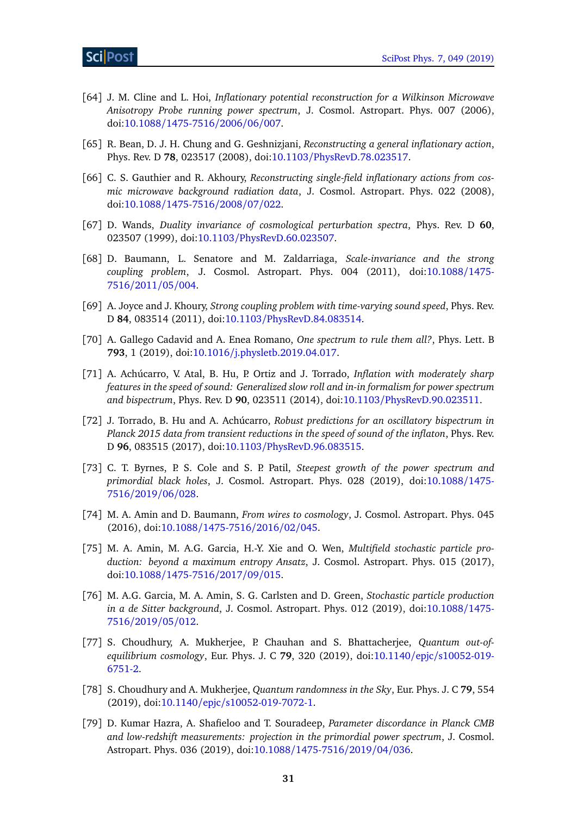- [64] J. M. Cline and L. Hoi, *Inflationary potential reconstruction for a Wilkinson Microwave Anisotropy Probe running power spectrum*, J. Cosmol. Astropart. Phys. 007 (2006), doi:10.1088/[1475-7516](http://dx.doi.org/10.1088/1475-7516/2006/06/007)/2006/06/007.
- [65] R. Bean, D. J. H. Chung and G. Geshnizjani, *Reconstructing a general inflationary action*, Phys. Rev. D **78**, 023517 (2008), doi:10.1103/[PhysRevD.78.023517.](http://dx.doi.org/10.1103/PhysRevD.78.023517)
- <span id="page-30-0"></span>[66] C. S. Gauthier and R. Akhoury, *Reconstructing single-field inflationary actions from cosmic microwave background radiation data*, J. Cosmol. Astropart. Phys. 022 (2008), doi:10.1088/[1475-7516](http://dx.doi.org/10.1088/1475-7516/2008/07/022)/2008/07/022.
- <span id="page-30-1"></span>[67] D. Wands, *Duality invariance of cosmological perturbation spectra*, Phys. Rev. D **60**, 023507 (1999), doi:10.1103/[PhysRevD.60.023507.](http://dx.doi.org/10.1103/PhysRevD.60.023507)
- [68] D. Baumann, L. Senatore and M. Zaldarriaga, *Scale-invariance and the strong coupling problem*, J. Cosmol. Astropart. Phys. 004 (2011), doi[:10.1088](http://dx.doi.org/10.1088/1475-7516/2011/05/004)/1475- [7516](http://dx.doi.org/10.1088/1475-7516/2011/05/004)/2011/05/004.
- [69] A. Joyce and J. Khoury, *Strong coupling problem with time-varying sound speed*, Phys. Rev. D **84**, 083514 (2011), doi:10.1103/[PhysRevD.84.083514.](http://dx.doi.org/10.1103/PhysRevD.84.083514)
- <span id="page-30-2"></span>[70] A. Gallego Cadavid and A. Enea Romano, *One spectrum to rule them all?*, Phys. Lett. B **793**, 1 (2019), doi:10.1016/[j.physletb.2019.04.017.](http://dx.doi.org/10.1016/j.physletb.2019.04.017)
- <span id="page-30-3"></span>[71] A. Achúcarro, V. Atal, B. Hu, P. Ortiz and J. Torrado, *Inflation with moderately sharp features in the speed of sound: Generalized slow roll and in-in formalism for power spectrum and bispectrum*, Phys. Rev. D **90**, 023511 (2014), doi:10.1103/[PhysRevD.90.023511.](http://dx.doi.org/10.1103/PhysRevD.90.023511)
- <span id="page-30-4"></span>[72] J. Torrado, B. Hu and A. Achúcarro, *Robust predictions for an oscillatory bispectrum in Planck 2015 data from transient reductions in the speed of sound of the inflaton*, Phys. Rev. D **96**, 083515 (2017), doi:10.1103/[PhysRevD.96.083515.](http://dx.doi.org/10.1103/PhysRevD.96.083515)
- <span id="page-30-5"></span>[73] C. T. Byrnes, P. S. Cole and S. P. Patil, *Steepest growth of the power spectrum and primordial black holes*, J. Cosmol. Astropart. Phys. 028 (2019), doi[:10.1088](http://dx.doi.org/10.1088/1475-7516/2019/06/028)/1475- [7516](http://dx.doi.org/10.1088/1475-7516/2019/06/028)/2019/06/028.
- <span id="page-30-6"></span>[74] M. A. Amin and D. Baumann, *From wires to cosmology*, J. Cosmol. Astropart. Phys. 045 (2016), doi:10.1088/[1475-7516](http://dx.doi.org/10.1088/1475-7516/2016/02/045)/2016/02/045.
- [75] M. A. Amin, M. A.G. Garcia, H.-Y. Xie and O. Wen, *Multifield stochastic particle production: beyond a maximum entropy Ansatz*, J. Cosmol. Astropart. Phys. 015 (2017), doi:10.1088/[1475-7516](http://dx.doi.org/10.1088/1475-7516/2017/09/015)/2017/09/015.
- [76] M. A.G. Garcia, M. A. Amin, S. G. Carlsten and D. Green, *Stochastic particle production in a de Sitter background*, J. Cosmol. Astropart. Phys. 012 (2019), doi[:10.1088](http://dx.doi.org/10.1088/1475-7516/2019/05/012)/1475- [7516](http://dx.doi.org/10.1088/1475-7516/2019/05/012)/2019/05/012.
- [77] S. Choudhury, A. Mukherjee, P. Chauhan and S. Bhattacherjee, *Quantum out-ofequilibrium cosmology*, Eur. Phys. J. C **79**, 320 (2019), doi:10.1140/epjc/[s10052-019-](http://dx.doi.org/10.1140/epjc/s10052-019-6751-2) [6751-2.](http://dx.doi.org/10.1140/epjc/s10052-019-6751-2)
- <span id="page-30-7"></span>[78] S. Choudhury and A. Mukherjee, *Quantum randomness in the Sky*, Eur. Phys. J. C **79**, 554 (2019), doi:10.1140/epjc/[s10052-019-7072-1.](http://dx.doi.org/10.1140/epjc/s10052-019-7072-1)
- <span id="page-30-8"></span>[79] D. Kumar Hazra, A. Shafieloo and T. Souradeep, *Parameter discordance in Planck CMB and low-redshift measurements: projection in the primordial power spectrum*, J. Cosmol. Astropart. Phys. 036 (2019), doi:10.1088/[1475-7516](http://dx.doi.org/10.1088/1475-7516/2019/04/036)/2019/04/036.